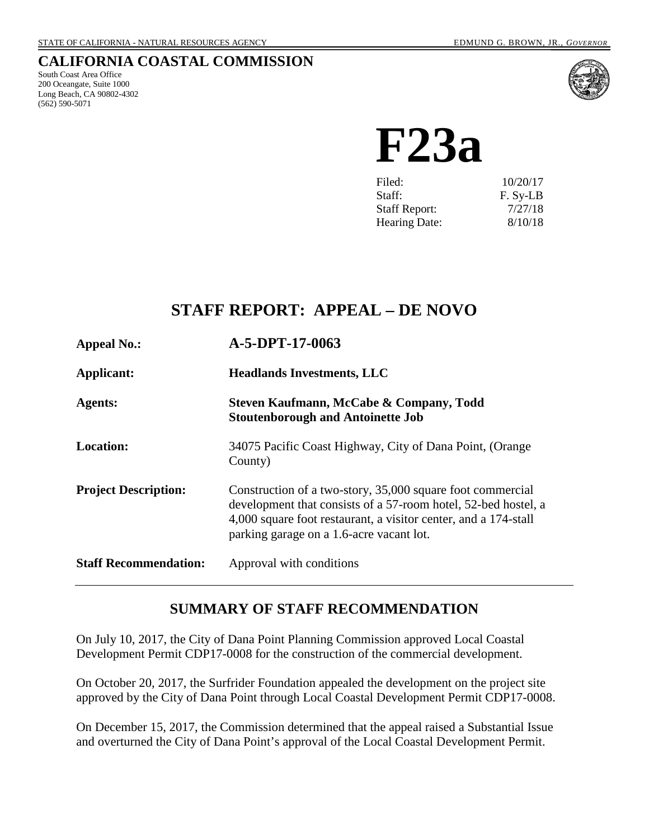## **CALIFORNIA COASTAL COMMISSION**

South Coast Area Office 200 Oceangate, Suite 1000 Long Beach, CA 90802-4302 (562) 590-5071



**F23a**

| 10/20/17 |
|----------|
| F. Sy-LB |
| 7/27/18  |
| 8/10/18  |
|          |

# **STAFF REPORT: APPEAL – DE NOVO**

| <b>Appeal No.:</b>           | A-5-DPT-17-0063                                                                                                                                                                                                                             |  |
|------------------------------|---------------------------------------------------------------------------------------------------------------------------------------------------------------------------------------------------------------------------------------------|--|
| Applicant:                   | <b>Headlands Investments, LLC</b>                                                                                                                                                                                                           |  |
| <b>Agents:</b>               | Steven Kaufmann, McCabe & Company, Todd<br><b>Stoutenborough and Antoinette Job</b>                                                                                                                                                         |  |
| <b>Location:</b>             | 34075 Pacific Coast Highway, City of Dana Point, (Orange<br>County)                                                                                                                                                                         |  |
| <b>Project Description:</b>  | Construction of a two-story, 35,000 square foot commercial<br>development that consists of a 57-room hotel, 52-bed hostel, a<br>4,000 square foot restaurant, a visitor center, and a 174-stall<br>parking garage on a 1.6-acre vacant lot. |  |
| <b>Staff Recommendation:</b> | Approval with conditions                                                                                                                                                                                                                    |  |

## **SUMMARY OF STAFF RECOMMENDATION**

On July 10, 2017, the City of Dana Point Planning Commission approved Local Coastal Development Permit CDP17-0008 for the construction of the commercial development.

On October 20, 2017, the Surfrider Foundation appealed the development on the project site approved by the City of Dana Point through Local Coastal Development Permit CDP17-0008.

On December 15, 2017, the Commission determined that the appeal raised a Substantial Issue and overturned the City of Dana Point's approval of the Local Coastal Development Permit.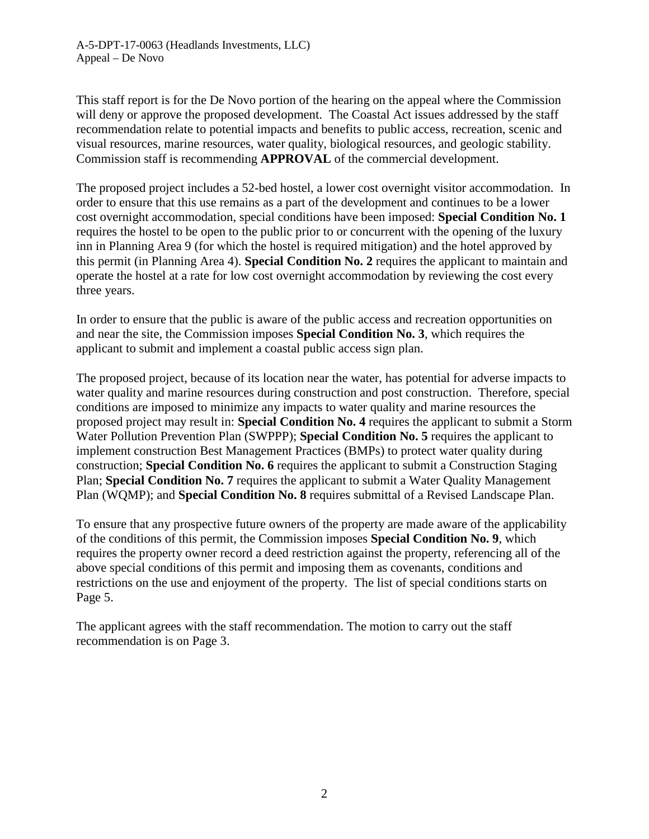A-5-DPT-17-0063 (Headlands Investments, LLC) Appeal – De Novo

This staff report is for the De Novo portion of the hearing on the appeal where the Commission will deny or approve the proposed development. The Coastal Act issues addressed by the staff recommendation relate to potential impacts and benefits to public access, recreation, scenic and visual resources, marine resources, water quality, biological resources, and geologic stability. Commission staff is recommending **APPROVAL** of the commercial development.

The proposed project includes a 52-bed hostel, a lower cost overnight visitor accommodation. In order to ensure that this use remains as a part of the development and continues to be a lower cost overnight accommodation, special conditions have been imposed: **Special Condition No. 1** requires the hostel to be open to the public prior to or concurrent with the opening of the luxury inn in Planning Area 9 (for which the hostel is required mitigation) and the hotel approved by this permit (in Planning Area 4). **Special Condition No. 2** requires the applicant to maintain and operate the hostel at a rate for low cost overnight accommodation by reviewing the cost every three years.

In order to ensure that the public is aware of the public access and recreation opportunities on and near the site, the Commission imposes **Special Condition No. 3**, which requires the applicant to submit and implement a coastal public access sign plan.

The proposed project, because of its location near the water, has potential for adverse impacts to water quality and marine resources during construction and post construction. Therefore, special conditions are imposed to minimize any impacts to water quality and marine resources the proposed project may result in: **Special Condition No. 4** requires the applicant to submit a Storm Water Pollution Prevention Plan (SWPPP); **Special Condition No. 5** requires the applicant to implement construction Best Management Practices (BMPs) to protect water quality during construction; **Special Condition No. 6** requires the applicant to submit a Construction Staging Plan; **Special Condition No. 7** requires the applicant to submit a Water Quality Management Plan (WQMP); and **Special Condition No. 8** requires submittal of a Revised Landscape Plan.

To ensure that any prospective future owners of the property are made aware of the applicability of the conditions of this permit, the Commission imposes **Special Condition No. 9**, which requires the property owner record a deed restriction against the property, referencing all of the above special conditions of this permit and imposing them as covenants, conditions and restrictions on the use and enjoyment of the property. The list of special conditions starts on Page 5.

The applicant agrees with the staff recommendation. The motion to carry out the staff recommendation is on Page 3.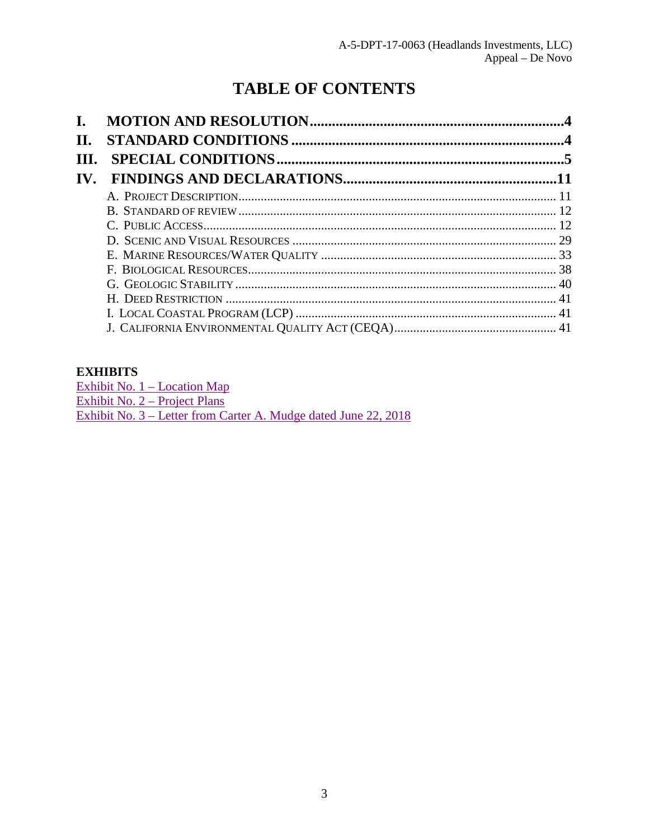# **TABLE OF CONTENTS**

| L.                    |  |
|-----------------------|--|
| II.                   |  |
| Ш.                    |  |
| $\mathbf{IV}_{\cdot}$ |  |
|                       |  |
|                       |  |
|                       |  |
|                       |  |
|                       |  |
|                       |  |
|                       |  |
|                       |  |
|                       |  |
|                       |  |

### **EXHIBITS**

Exhibit No.  $1 -$ Location Map Exhibit No. 2 – Project Plans<br>Exhibit No. 3 – Letter from Carter A. Mudge dated June 22, 2018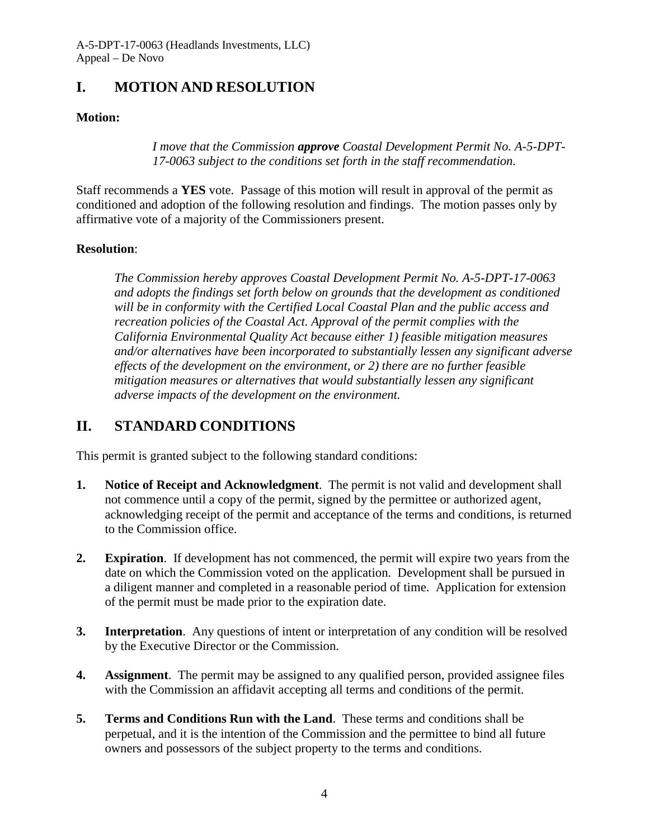## <span id="page-3-0"></span>**I. MOTION AND RESOLUTION**

## **Motion:**

*I move that the Commission approve Coastal Development Permit No. A-5-DPT-17-0063 subject to the conditions set forth in the staff recommendation.* 

Staff recommends a **YES** vote. Passage of this motion will result in approval of the permit as conditioned and adoption of the following resolution and findings. The motion passes only by affirmative vote of a majority of the Commissioners present.

### **Resolution**:

*The Commission hereby approves Coastal Development Permit No. A-5-DPT-17-0063 and adopts the findings set forth below on grounds that the development as conditioned will be in conformity with the Certified Local Coastal Plan and the public access and recreation policies of the Coastal Act. Approval of the permit complies with the California Environmental Quality Act because either 1) feasible mitigation measures and/or alternatives have been incorporated to substantially lessen any significant adverse effects of the development on the environment, or 2) there are no further feasible mitigation measures or alternatives that would substantially lessen any significant adverse impacts of the development on the environment.* 

## <span id="page-3-1"></span>**II. STANDARD CONDITIONS**

This permit is granted subject to the following standard conditions:

- **1. Notice of Receipt and Acknowledgment**. The permit is not valid and development shall not commence until a copy of the permit, signed by the permittee or authorized agent, acknowledging receipt of the permit and acceptance of the terms and conditions, is returned to the Commission office.
- **2. Expiration**. If development has not commenced, the permit will expire two years from the date on which the Commission voted on the application. Development shall be pursued in a diligent manner and completed in a reasonable period of time. Application for extension of the permit must be made prior to the expiration date.
- **3.** Interpretation. Any questions of intent or interpretation of any condition will be resolved by the Executive Director or the Commission.
- **4. Assignment**. The permit may be assigned to any qualified person, provided assignee files with the Commission an affidavit accepting all terms and conditions of the permit.
- **5. Terms and Conditions Run with the Land**. These terms and conditions shall be perpetual, and it is the intention of the Commission and the permittee to bind all future owners and possessors of the subject property to the terms and conditions.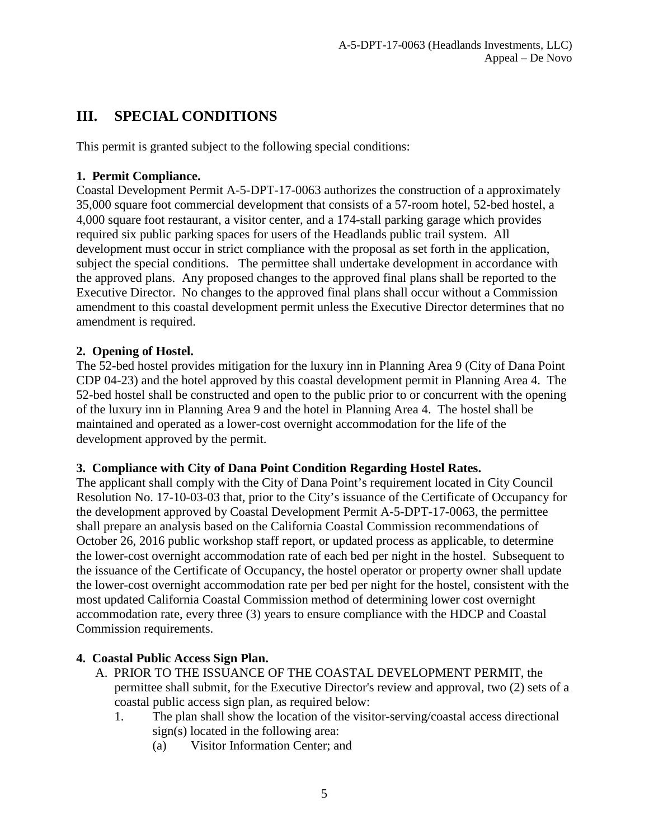# <span id="page-4-0"></span>**III. SPECIAL CONDITIONS**

This permit is granted subject to the following special conditions:

## **1. Permit Compliance.**

Coastal Development Permit A-5-DPT-17-0063 authorizes the construction of a approximately 35,000 square foot commercial development that consists of a 57-room hotel, 52-bed hostel, a 4,000 square foot restaurant, a visitor center, and a 174-stall parking garage which provides required six public parking spaces for users of the Headlands public trail system. All development must occur in strict compliance with the proposal as set forth in the application, subject the special conditions. The permittee shall undertake development in accordance with the approved plans. Any proposed changes to the approved final plans shall be reported to the Executive Director. No changes to the approved final plans shall occur without a Commission amendment to this coastal development permit unless the Executive Director determines that no amendment is required.

## **2. Opening of Hostel.**

The 52-bed hostel provides mitigation for the luxury inn in Planning Area 9 (City of Dana Point CDP 04-23) and the hotel approved by this coastal development permit in Planning Area 4. The 52-bed hostel shall be constructed and open to the public prior to or concurrent with the opening of the luxury inn in Planning Area 9 and the hotel in Planning Area 4. The hostel shall be maintained and operated as a lower-cost overnight accommodation for the life of the development approved by the permit.

### **3. Compliance with City of Dana Point Condition Regarding Hostel Rates.**

The applicant shall comply with the City of Dana Point's requirement located in City Council Resolution No. 17-10-03-03 that, prior to the City's issuance of the Certificate of Occupancy for the development approved by Coastal Development Permit A-5-DPT-17-0063, the permittee shall prepare an analysis based on the California Coastal Commission recommendations of October 26, 2016 public workshop staff report, or updated process as applicable, to determine the lower-cost overnight accommodation rate of each bed per night in the hostel. Subsequent to the issuance of the Certificate of Occupancy, the hostel operator or property owner shall update the lower-cost overnight accommodation rate per bed per night for the hostel, consistent with the most updated California Coastal Commission method of determining lower cost overnight accommodation rate, every three (3) years to ensure compliance with the HDCP and Coastal Commission requirements.

## **4. Coastal Public Access Sign Plan.**

- A. PRIOR TO THE ISSUANCE OF THE COASTAL DEVELOPMENT PERMIT, the permittee shall submit, for the Executive Director's review and approval, two (2) sets of a coastal public access sign plan, as required below:
	- 1. The plan shall show the location of the visitor-serving/coastal access directional sign(s) located in the following area:
		- (a) Visitor Information Center; and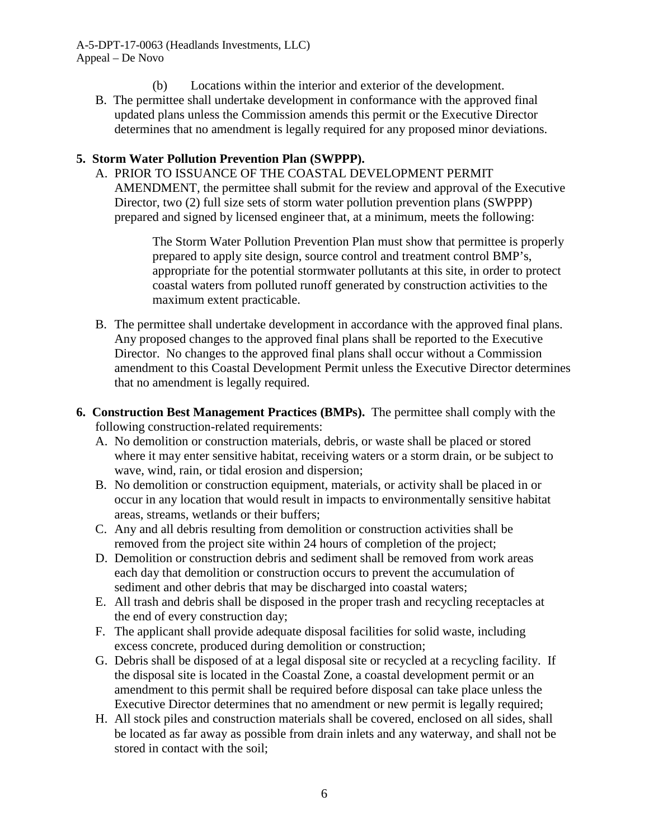- (b) Locations within the interior and exterior of the development.
- B. The permittee shall undertake development in conformance with the approved final updated plans unless the Commission amends this permit or the Executive Director determines that no amendment is legally required for any proposed minor deviations.

### **5. Storm Water Pollution Prevention Plan (SWPPP).**

A. PRIOR TO ISSUANCE OF THE COASTAL DEVELOPMENT PERMIT AMENDMENT, the permittee shall submit for the review and approval of the Executive Director, two (2) full size sets of storm water pollution prevention plans (SWPPP) prepared and signed by licensed engineer that, at a minimum, meets the following:

> The Storm Water Pollution Prevention Plan must show that permittee is properly prepared to apply site design, source control and treatment control BMP's, appropriate for the potential stormwater pollutants at this site, in order to protect coastal waters from polluted runoff generated by construction activities to the maximum extent practicable.

- B. The permittee shall undertake development in accordance with the approved final plans. Any proposed changes to the approved final plans shall be reported to the Executive Director. No changes to the approved final plans shall occur without a Commission amendment to this Coastal Development Permit unless the Executive Director determines that no amendment is legally required.
- **6. Construction Best Management Practices (BMPs).** The permittee shall comply with the following construction-related requirements:
	- A. No demolition or construction materials, debris, or waste shall be placed or stored where it may enter sensitive habitat, receiving waters or a storm drain, or be subject to wave, wind, rain, or tidal erosion and dispersion;
	- B. No demolition or construction equipment, materials, or activity shall be placed in or occur in any location that would result in impacts to environmentally sensitive habitat areas, streams, wetlands or their buffers;
	- C. Any and all debris resulting from demolition or construction activities shall be removed from the project site within 24 hours of completion of the project;
	- D. Demolition or construction debris and sediment shall be removed from work areas each day that demolition or construction occurs to prevent the accumulation of sediment and other debris that may be discharged into coastal waters;
	- E. All trash and debris shall be disposed in the proper trash and recycling receptacles at the end of every construction day;
	- F. The applicant shall provide adequate disposal facilities for solid waste, including excess concrete, produced during demolition or construction;
	- G. Debris shall be disposed of at a legal disposal site or recycled at a recycling facility. If the disposal site is located in the Coastal Zone, a coastal development permit or an amendment to this permit shall be required before disposal can take place unless the Executive Director determines that no amendment or new permit is legally required;
	- H. All stock piles and construction materials shall be covered, enclosed on all sides, shall be located as far away as possible from drain inlets and any waterway, and shall not be stored in contact with the soil;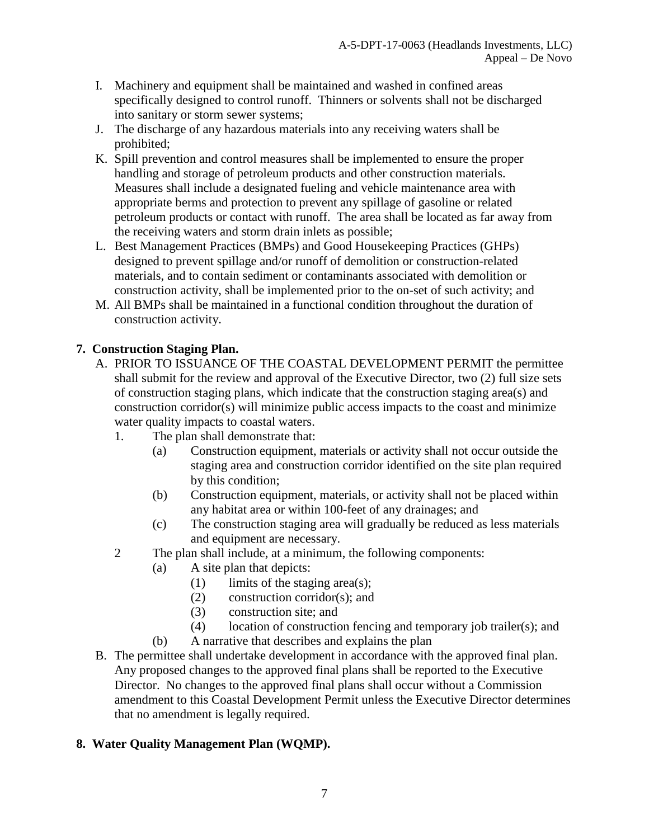- I. Machinery and equipment shall be maintained and washed in confined areas specifically designed to control runoff. Thinners or solvents shall not be discharged into sanitary or storm sewer systems;
- J. The discharge of any hazardous materials into any receiving waters shall be prohibited;
- K. Spill prevention and control measures shall be implemented to ensure the proper handling and storage of petroleum products and other construction materials. Measures shall include a designated fueling and vehicle maintenance area with appropriate berms and protection to prevent any spillage of gasoline or related petroleum products or contact with runoff. The area shall be located as far away from the receiving waters and storm drain inlets as possible;
- L. Best Management Practices (BMPs) and Good Housekeeping Practices (GHPs) designed to prevent spillage and/or runoff of demolition or construction-related materials, and to contain sediment or contaminants associated with demolition or construction activity, shall be implemented prior to the on-set of such activity; and
- M. All BMPs shall be maintained in a functional condition throughout the duration of construction activity.

## **7. Construction Staging Plan.**

- A. PRIOR TO ISSUANCE OF THE COASTAL DEVELOPMENT PERMIT the permittee shall submit for the review and approval of the Executive Director, two (2) full size sets of construction staging plans, which indicate that the construction staging area(s) and construction corridor(s) will minimize public access impacts to the coast and minimize water quality impacts to coastal waters.
	- 1. The plan shall demonstrate that:
		- (a) Construction equipment, materials or activity shall not occur outside the staging area and construction corridor identified on the site plan required by this condition;
		- (b) Construction equipment, materials, or activity shall not be placed within any habitat area or within 100-feet of any drainages; and
		- (c) The construction staging area will gradually be reduced as less materials and equipment are necessary.
	- 2 The plan shall include, at a minimum, the following components:
		- (a) A site plan that depicts:
			- (1) limits of the staging area(s);
			- (2) construction corridor(s); and
			- (3) construction site; and
			- (4) location of construction fencing and temporary job trailer(s); and
		- (b) A narrative that describes and explains the plan
- B. The permittee shall undertake development in accordance with the approved final plan. Any proposed changes to the approved final plans shall be reported to the Executive Director. No changes to the approved final plans shall occur without a Commission amendment to this Coastal Development Permit unless the Executive Director determines that no amendment is legally required.

## **8. Water Quality Management Plan (WQMP).**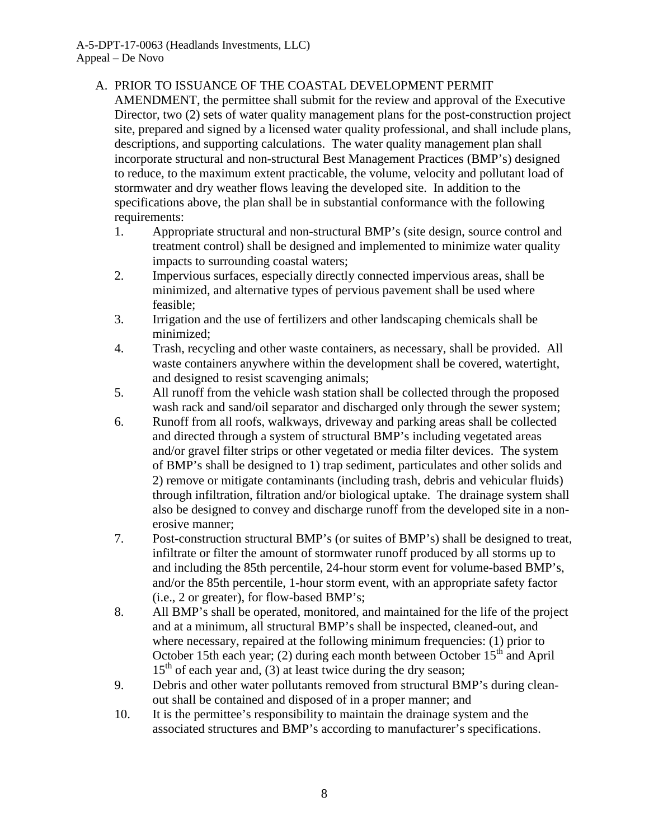## A. PRIOR TO ISSUANCE OF THE COASTAL DEVELOPMENT PERMIT

AMENDMENT, the permittee shall submit for the review and approval of the Executive Director, two (2) sets of water quality management plans for the post-construction project site, prepared and signed by a licensed water quality professional, and shall include plans, descriptions, and supporting calculations. The water quality management plan shall incorporate structural and non-structural Best Management Practices (BMP's) designed to reduce, to the maximum extent practicable, the volume, velocity and pollutant load of stormwater and dry weather flows leaving the developed site. In addition to the specifications above, the plan shall be in substantial conformance with the following requirements:

- 1. Appropriate structural and non-structural BMP's (site design, source control and treatment control) shall be designed and implemented to minimize water quality impacts to surrounding coastal waters;
- 2. Impervious surfaces, especially directly connected impervious areas, shall be minimized, and alternative types of pervious pavement shall be used where feasible;
- 3. Irrigation and the use of fertilizers and other landscaping chemicals shall be minimized;
- 4. Trash, recycling and other waste containers, as necessary, shall be provided. All waste containers anywhere within the development shall be covered, watertight, and designed to resist scavenging animals;
- 5. All runoff from the vehicle wash station shall be collected through the proposed wash rack and sand/oil separator and discharged only through the sewer system;
- 6. Runoff from all roofs, walkways, driveway and parking areas shall be collected and directed through a system of structural BMP's including vegetated areas and/or gravel filter strips or other vegetated or media filter devices. The system of BMP's shall be designed to 1) trap sediment, particulates and other solids and 2) remove or mitigate contaminants (including trash, debris and vehicular fluids) through infiltration, filtration and/or biological uptake. The drainage system shall also be designed to convey and discharge runoff from the developed site in a nonerosive manner;
- 7. Post-construction structural BMP's (or suites of BMP's) shall be designed to treat, infiltrate or filter the amount of stormwater runoff produced by all storms up to and including the 85th percentile, 24-hour storm event for volume-based BMP's, and/or the 85th percentile, 1-hour storm event, with an appropriate safety factor (i.e., 2 or greater), for flow-based BMP's;
- 8. All BMP's shall be operated, monitored, and maintained for the life of the project and at a minimum, all structural BMP's shall be inspected, cleaned-out, and where necessary, repaired at the following minimum frequencies: (1) prior to October 15th each year; (2) during each month between October  $15<sup>th</sup>$  and April  $15<sup>th</sup>$  of each year and, (3) at least twice during the dry season;
- 9. Debris and other water pollutants removed from structural BMP's during cleanout shall be contained and disposed of in a proper manner; and
- 10. It is the permittee's responsibility to maintain the drainage system and the associated structures and BMP's according to manufacturer's specifications.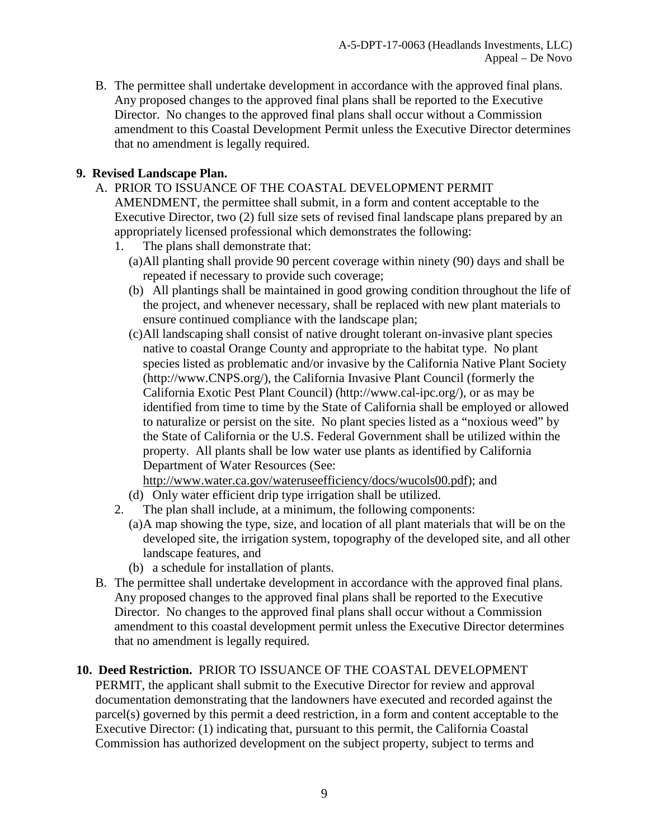B. The permittee shall undertake development in accordance with the approved final plans. Any proposed changes to the approved final plans shall be reported to the Executive Director. No changes to the approved final plans shall occur without a Commission amendment to this Coastal Development Permit unless the Executive Director determines that no amendment is legally required.

## **9. Revised Landscape Plan.**

- A. PRIOR TO ISSUANCE OF THE COASTAL DEVELOPMENT PERMIT AMENDMENT, the permittee shall submit, in a form and content acceptable to the Executive Director, two (2) full size sets of revised final landscape plans prepared by an appropriately licensed professional which demonstrates the following:
	- 1. The plans shall demonstrate that:
		- (a) All planting shall provide 90 percent coverage within ninety (90) days and shall be repeated if necessary to provide such coverage;
		- (b) All plantings shall be maintained in good growing condition throughout the life of the project, and whenever necessary, shall be replaced with new plant materials to ensure continued compliance with the landscape plan;
		- (c) All landscaping shall consist of native drought tolerant on-invasive plant species native to coastal Orange County and appropriate to the habitat type. No plant species listed as problematic and/or invasive by the California Native Plant Society (http://www.CNPS.org/), the California Invasive Plant Council (formerly the California Exotic Pest Plant Council) (http://www.cal-ipc.org/), or as may be identified from time to time by the State of California shall be employed or allowed to naturalize or persist on the site. No plant species listed as a "noxious weed" by the State of California or the U.S. Federal Government shall be utilized within the property. All plants shall be low water use plants as identified by California Department of Water Resources (See:

[http://www.water.ca.gov/wateruseefficiency/docs/wucols00.pdf\)](http://www.water.ca.gov/wateruseefficiency/docs/wucols00.pdf); and

- (d) Only water efficient drip type irrigation shall be utilized.
- 2. The plan shall include, at a minimum, the following components:
	- (a)A map showing the type, size, and location of all plant materials that will be on the developed site, the irrigation system, topography of the developed site, and all other landscape features, and
	- (b) a schedule for installation of plants.
- B. The permittee shall undertake development in accordance with the approved final plans. Any proposed changes to the approved final plans shall be reported to the Executive Director. No changes to the approved final plans shall occur without a Commission amendment to this coastal development permit unless the Executive Director determines that no amendment is legally required.

## **10. Deed Restriction.** PRIOR TO ISSUANCE OF THE COASTAL DEVELOPMENT

PERMIT, the applicant shall submit to the Executive Director for review and approval documentation demonstrating that the landowners have executed and recorded against the parcel(s) governed by this permit a deed restriction, in a form and content acceptable to the Executive Director: (1) indicating that, pursuant to this permit, the California Coastal Commission has authorized development on the subject property, subject to terms and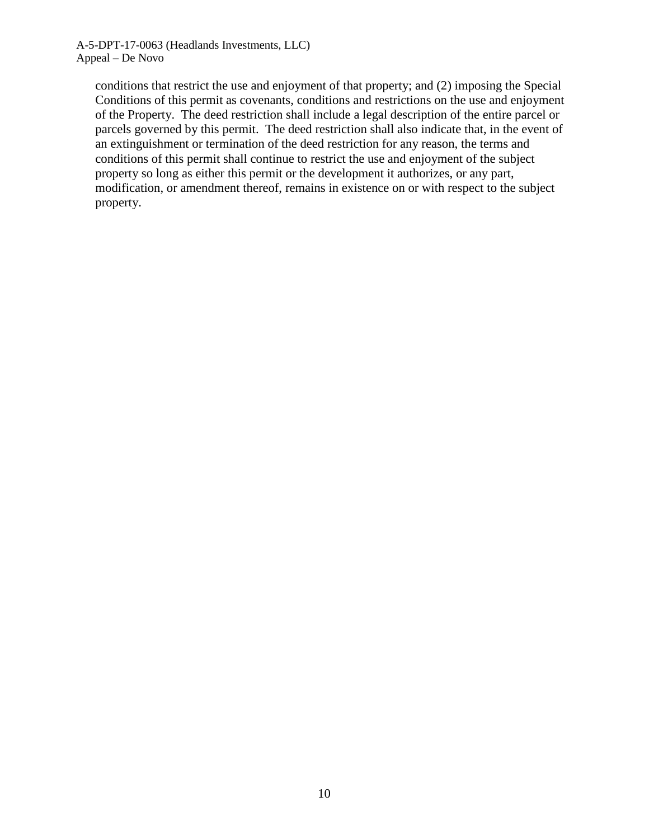conditions that restrict the use and enjoyment of that property; and (2) imposing the Special Conditions of this permit as covenants, conditions and restrictions on the use and enjoyment of the Property. The deed restriction shall include a legal description of the entire parcel or parcels governed by this permit. The deed restriction shall also indicate that, in the event of an extinguishment or termination of the deed restriction for any reason, the terms and conditions of this permit shall continue to restrict the use and enjoyment of the subject property so long as either this permit or the development it authorizes, or any part, modification, or amendment thereof, remains in existence on or with respect to the subject property.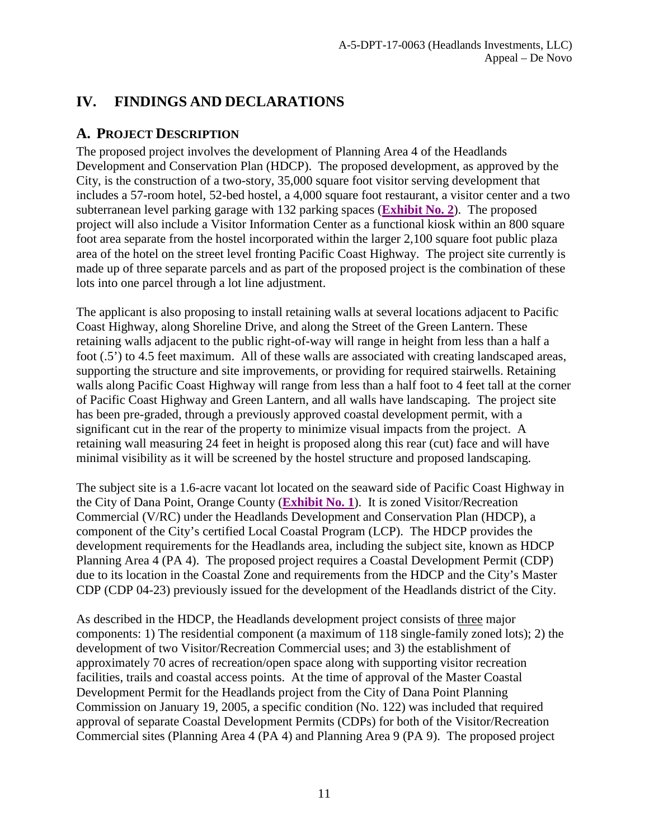# <span id="page-10-0"></span>**IV. FINDINGS AND DECLARATIONS**

# <span id="page-10-1"></span>**A. PROJECT DESCRIPTION**

The proposed project involves the development of Planning Area 4 of the Headlands Development and Conservation Plan (HDCP). The proposed development, as approved by the City, is the construction of a two-story, 35,000 square foot visitor serving development that includes a 57-room hotel, 52-bed hostel, a 4,000 square foot restaurant, a visitor center and a two subterranean level parking garage with 132 parking spaces (**[Exhibit No. 2](https://documents.coastal.ca.gov/reports/2018/8/F23a/F23a-8-2018-exhibits.pdf)**). The proposed project will also include a Visitor Information Center as a functional kiosk within an 800 square foot area separate from the hostel incorporated within the larger 2,100 square foot public plaza area of the hotel on the street level fronting Pacific Coast Highway. The project site currently is made up of three separate parcels and as part of the proposed project is the combination of these lots into one parcel through a lot line adjustment.

The applicant is also proposing to install retaining walls at several locations adjacent to Pacific Coast Highway, along Shoreline Drive, and along the Street of the Green Lantern. These retaining walls adjacent to the public right-of-way will range in height from less than a half a foot (.5') to 4.5 feet maximum. All of these walls are associated with creating landscaped areas, supporting the structure and site improvements, or providing for required stairwells. Retaining walls along Pacific Coast Highway will range from less than a half foot to 4 feet tall at the corner of Pacific Coast Highway and Green Lantern, and all walls have landscaping. The project site has been pre-graded, through a previously approved coastal development permit, with a significant cut in the rear of the property to minimize visual impacts from the project. A retaining wall measuring 24 feet in height is proposed along this rear (cut) face and will have minimal visibility as it will be screened by the hostel structure and proposed landscaping.

The subject site is a 1.6-acre vacant lot located on the seaward side of Pacific Coast Highway in the City of Dana Point, Orange County (**[Exhibit No. 1](https://documents.coastal.ca.gov/reports/2018/8/F23a/F23a-8-2018-exhibits.pdf)**). It is zoned Visitor/Recreation Commercial (V/RC) under the Headlands Development and Conservation Plan (HDCP), a component of the City's certified Local Coastal Program (LCP). The HDCP provides the development requirements for the Headlands area, including the subject site, known as HDCP Planning Area 4 (PA 4). The proposed project requires a Coastal Development Permit (CDP) due to its location in the Coastal Zone and requirements from the HDCP and the City's Master CDP (CDP 04-23) previously issued for the development of the Headlands district of the City.

As described in the HDCP, the Headlands development project consists of three major components: 1) The residential component (a maximum of 118 single-family zoned lots); 2) the development of two Visitor/Recreation Commercial uses; and 3) the establishment of approximately 70 acres of recreation/open space along with supporting visitor recreation facilities, trails and coastal access points. At the time of approval of the Master Coastal Development Permit for the Headlands project from the City of Dana Point Planning Commission on January 19, 2005, a specific condition (No. 122) was included that required approval of separate Coastal Development Permits (CDPs) for both of the Visitor/Recreation Commercial sites (Planning Area 4 (PA 4) and Planning Area 9 (PA 9). The proposed project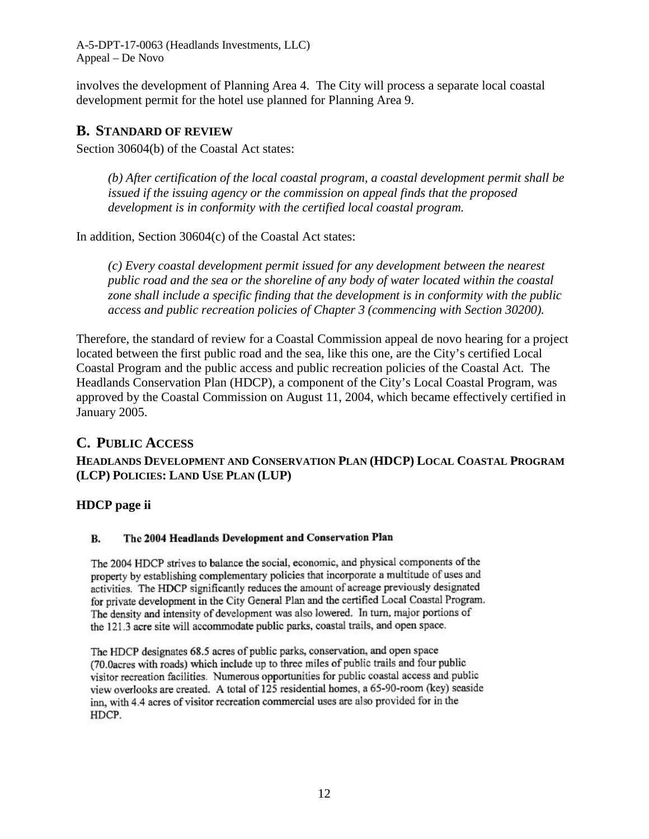A-5-DPT-17-0063 (Headlands Investments, LLC) Appeal – De Novo

involves the development of Planning Area 4. The City will process a separate local coastal development permit for the hotel use planned for Planning Area 9.

## <span id="page-11-0"></span>**B. STANDARD OF REVIEW**

Section 30604(b) of the Coastal Act states:

*(b) After certification of the local coastal program, a coastal development permit shall be issued if the issuing agency or the commission on appeal finds that the proposed development is in conformity with the certified local coastal program.* 

In addition, Section 30604(c) of the Coastal Act states:

*(c) Every coastal development permit issued for any development between the nearest public road and the sea or the shoreline of any body of water located within the coastal zone shall include a specific finding that the development is in conformity with the public access and public recreation policies of Chapter 3 (commencing with Section 30200).* 

Therefore, the standard of review for a Coastal Commission appeal de novo hearing for a project located between the first public road and the sea, like this one, are the City's certified Local Coastal Program and the public access and public recreation policies of the Coastal Act. The Headlands Conservation Plan (HDCP), a component of the City's Local Coastal Program, was approved by the Coastal Commission on August 11, 2004, which became effectively certified in January 2005.

### <span id="page-11-1"></span>**C. PUBLIC ACCESS**

### **HEADLANDS DEVELOPMENT AND CONSERVATION PLAN (HDCP) LOCAL COASTAL PROGRAM (LCP) POLICIES: LAND USE PLAN (LUP)**

### **HDCP page ii**

#### The 2004 Headlands Development and Conservation Plan **B.**

The 2004 HDCP strives to balance the social, economic, and physical components of the property by establishing complementary policies that incorporate a multitude of uses and activities. The HDCP significantly reduces the amount of acreage previously designated for private development in the City General Plan and the certified Local Coastal Program. The density and intensity of development was also lowered. In turn, major portions of the 121.3 acre site will accommodate public parks, coastal trails, and open space.

The HDCP designates 68.5 acres of public parks, conservation, and open space (70.0acres with roads) which include up to three miles of public trails and four public visitor recreation facilities. Numerous opportunities for public coastal access and public view overlooks are created. A total of 125 residential homes, a 65-90-room (key) seaside inn, with 4.4 acres of visitor recreation commercial uses are also provided for in the HDCP.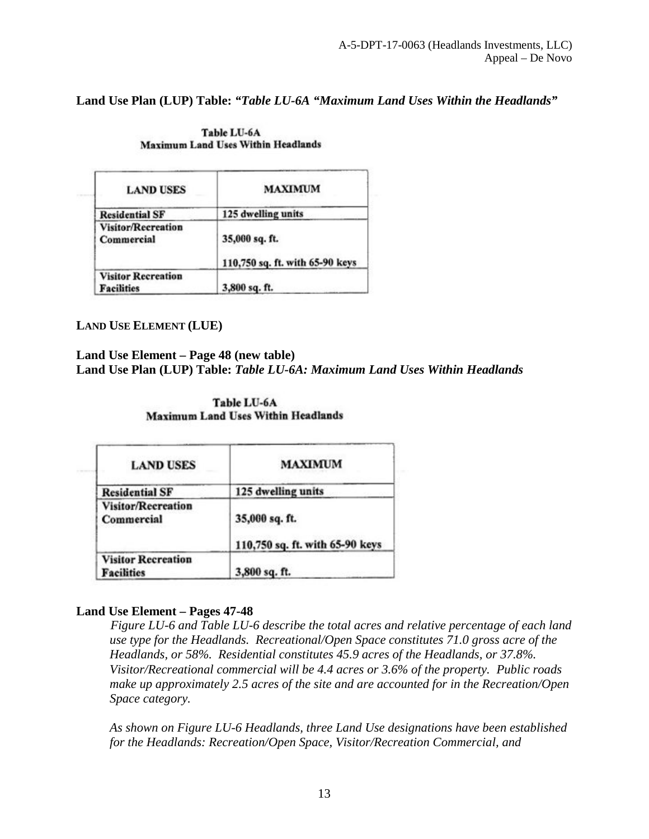**Land Use Plan (LUP) Table:** *"Table LU-6A "Maximum Land Uses Within the Headlands"*

| <b>LAND USES</b>                               | <b>MAXIMUM</b>                                    |
|------------------------------------------------|---------------------------------------------------|
| <b>Residential SF</b>                          | 125 dwelling units                                |
| Visitor/Recreation<br>Commercial               | 35,000 sq. ft.<br>110,750 sq. ft. with 65-90 keys |
| <b>Visitor Recreation</b><br><b>Facilities</b> | 3,800 sq. ft.                                     |

Table LU-6A **Maximum Land Uses Within Headlands** 

**LAND USE ELEMENT (LUE)**

**Land Use Element – Page 48 (new table)**

**Land Use Plan (LUP) Table:** *Table LU-6A: Maximum Land Uses Within Headlands* 

Table LU-6A **Maximum Land Uses Within Headlands** 

| <b>LAND USES</b>                               | <b>MAXIMUM</b>                                    |
|------------------------------------------------|---------------------------------------------------|
| <b>Residential SF</b>                          | 125 dwelling units                                |
| <b>Visitor/Recreation</b><br>Commercial        | 35,000 sq. ft.<br>110,750 sq. ft. with 65-90 keys |
| <b>Visitor Recreation</b><br><b>Facilities</b> | 3,800 sq. ft.                                     |

### **Land Use Element – Pages 47-48**

-*Figure LU-6 and Table LU-6 describe the total acres and relative percentage of each land use type for the Headlands. Recreational/Open Space constitutes 71.0 gross acre of the Headlands, or 58%. Residential constitutes 45.9 acres of the Headlands, or 37.8%. Visitor/Recreational commercial will be 4.4 acres or 3.6% of the property. Public roads make up approximately 2.5 acres of the site and are accounted for in the Recreation/Open Space category.* 

*As shown on Figure LU-6 Headlands, three Land Use designations have been established for the Headlands: Recreation/Open Space, Visitor/Recreation Commercial, and*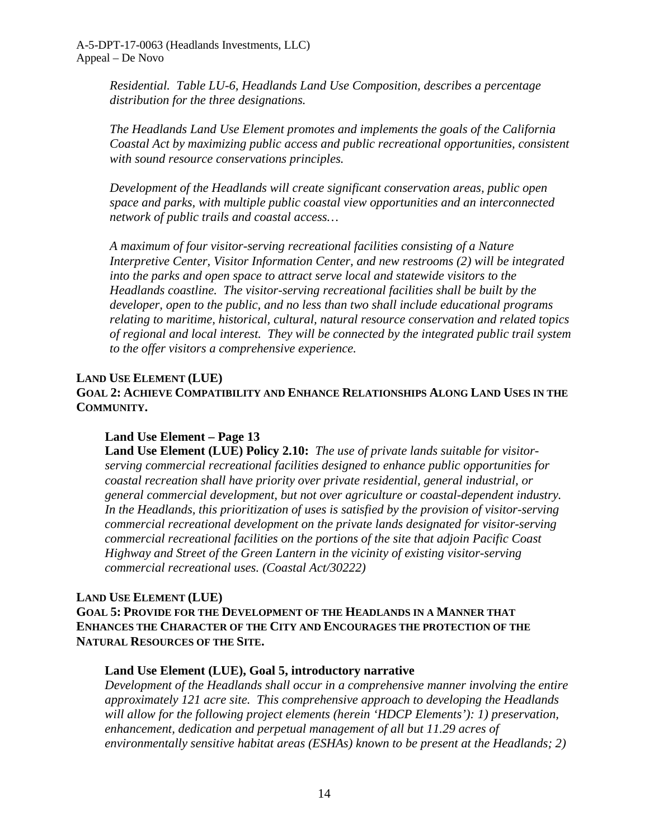*Residential. Table LU-6, Headlands Land Use Composition, describes a percentage distribution for the three designations.* 

*The Headlands Land Use Element promotes and implements the goals of the California Coastal Act by maximizing public access and public recreational opportunities, consistent with sound resource conservations principles.* 

*Development of the Headlands will create significant conservation areas, public open space and parks, with multiple public coastal view opportunities and an interconnected network of public trails and coastal access…* 

*A maximum of four visitor-serving recreational facilities consisting of a Nature Interpretive Center, Visitor Information Center, and new restrooms (2) will be integrated into the parks and open space to attract serve local and statewide visitors to the Headlands coastline. The visitor-serving recreational facilities shall be built by the developer, open to the public, and no less than two shall include educational programs relating to maritime, historical, cultural, natural resource conservation and related topics of regional and local interest. They will be connected by the integrated public trail system to the offer visitors a comprehensive experience.* 

### **LAND USE ELEMENT (LUE)**

**GOAL 2: ACHIEVE COMPATIBILITY AND ENHANCE RELATIONSHIPS ALONG LAND USES IN THE COMMUNITY.** 

### **Land Use Element – Page 13**

**Land Use Element (LUE) Policy 2.10:** *The use of private lands suitable for visitorserving commercial recreational facilities designed to enhance public opportunities for coastal recreation shall have priority over private residential, general industrial, or general commercial development, but not over agriculture or coastal-dependent industry. In the Headlands, this prioritization of uses is satisfied by the provision of visitor-serving commercial recreational development on the private lands designated for visitor-serving commercial recreational facilities on the portions of the site that adjoin Pacific Coast Highway and Street of the Green Lantern in the vicinity of existing visitor-serving commercial recreational uses. (Coastal Act/30222)*

### **LAND USE ELEMENT (LUE)**

**GOAL 5: PROVIDE FOR THE DEVELOPMENT OF THE HEADLANDS IN A MANNER THAT ENHANCES THE CHARACTER OF THE CITY AND ENCOURAGES THE PROTECTION OF THE NATURAL RESOURCES OF THE SITE.** 

### **Land Use Element (LUE), Goal 5, introductory narrative**

*Development of the Headlands shall occur in a comprehensive manner involving the entire approximately 121 acre site. This comprehensive approach to developing the Headlands will allow for the following project elements (herein 'HDCP Elements'): 1) preservation, enhancement, dedication and perpetual management of all but 11.29 acres of environmentally sensitive habitat areas (ESHAs) known to be present at the Headlands; 2)*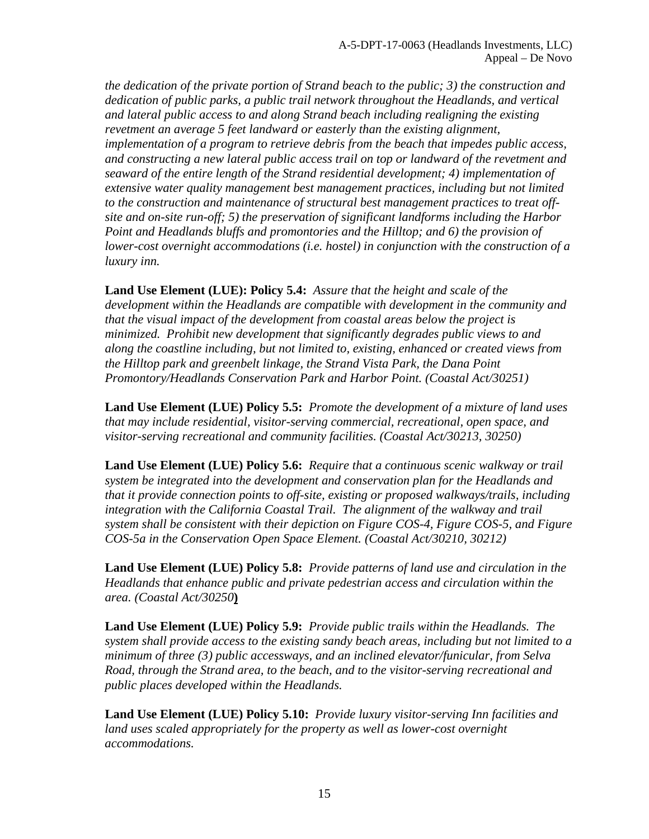*the dedication of the private portion of Strand beach to the public; 3) the construction and dedication of public parks, a public trail network throughout the Headlands, and vertical and lateral public access to and along Strand beach including realigning the existing revetment an average 5 feet landward or easterly than the existing alignment, implementation of a program to retrieve debris from the beach that impedes public access, and constructing a new lateral public access trail on top or landward of the revetment and seaward of the entire length of the Strand residential development; 4) implementation of extensive water quality management best management practices, including but not limited to the construction and maintenance of structural best management practices to treat offsite and on-site run-off; 5) the preservation of significant landforms including the Harbor Point and Headlands bluffs and promontories and the Hilltop; and 6) the provision of lower-cost overnight accommodations (i.e. hostel) in conjunction with the construction of a luxury inn.* 

**Land Use Element (LUE): Policy 5.4:** *Assure that the height and scale of the development within the Headlands are compatible with development in the community and that the visual impact of the development from coastal areas below the project is minimized. Prohibit new development that significantly degrades public views to and along the coastline including, but not limited to, existing, enhanced or created views from the Hilltop park and greenbelt linkage, the Strand Vista Park, the Dana Point Promontory/Headlands Conservation Park and Harbor Point. (Coastal Act/30251)* 

**Land Use Element (LUE) Policy 5.5:** *Promote the development of a mixture of land uses that may include residential, visitor-serving commercial, recreational, open space, and visitor-serving recreational and community facilities. (Coastal Act/30213, 30250)* 

**Land Use Element (LUE) Policy 5.6:** *Require that a continuous scenic walkway or trail system be integrated into the development and conservation plan for the Headlands and that it provide connection points to off-site, existing or proposed walkways/trails, including integration with the California Coastal Trail. The alignment of the walkway and trail system shall be consistent with their depiction on Figure COS-4, Figure COS-5, and Figure COS-5a in the Conservation Open Space Element. (Coastal Act/30210, 30212)* 

**Land Use Element (LUE) Policy 5.8:** *Provide patterns of land use and circulation in the Headlands that enhance public and private pedestrian access and circulation within the area. (Coastal Act/30250***)**

**Land Use Element (LUE) Policy 5.9:** *Provide public trails within the Headlands. The system shall provide access to the existing sandy beach areas, including but not limited to a minimum of three (3) public accessways, and an inclined elevator/funicular, from Selva Road, through the Strand area, to the beach, and to the visitor-serving recreational and public places developed within the Headlands.*

**Land Use Element (LUE) Policy 5.10:** *Provide luxury visitor-serving Inn facilities and land uses scaled appropriately for the property as well as lower-cost overnight accommodations.*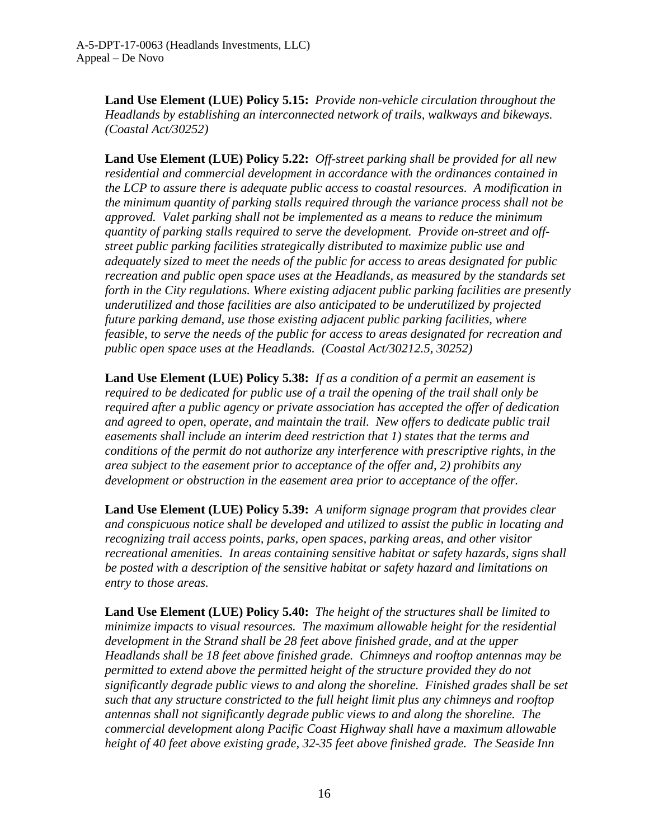**Land Use Element (LUE) Policy 5.15:** *Provide non-vehicle circulation throughout the Headlands by establishing an interconnected network of trails, walkways and bikeways. (Coastal Act/30252)*

**Land Use Element (LUE) Policy 5.22:** *Off-street parking shall be provided for all new residential and commercial development in accordance with the ordinances contained in the LCP to assure there is adequate public access to coastal resources. A modification in the minimum quantity of parking stalls required through the variance process shall not be approved. Valet parking shall not be implemented as a means to reduce the minimum quantity of parking stalls required to serve the development. Provide on-street and offstreet public parking facilities strategically distributed to maximize public use and adequately sized to meet the needs of the public for access to areas designated for public recreation and public open space uses at the Headlands, as measured by the standards set forth in the City regulations. Where existing adjacent public parking facilities are presently underutilized and those facilities are also anticipated to be underutilized by projected future parking demand, use those existing adjacent public parking facilities, where feasible, to serve the needs of the public for access to areas designated for recreation and public open space uses at the Headlands. (Coastal Act/30212.5, 30252)*

**Land Use Element (LUE) Policy 5.38:** *If as a condition of a permit an easement is required to be dedicated for public use of a trail the opening of the trail shall only be required after a public agency or private association has accepted the offer of dedication and agreed to open, operate, and maintain the trail. New offers to dedicate public trail easements shall include an interim deed restriction that 1) states that the terms and conditions of the permit do not authorize any interference with prescriptive rights, in the area subject to the easement prior to acceptance of the offer and, 2) prohibits any development or obstruction in the easement area prior to acceptance of the offer.*

**Land Use Element (LUE) Policy 5.39:** *A uniform signage program that provides clear and conspicuous notice shall be developed and utilized to assist the public in locating and recognizing trail access points, parks, open spaces, parking areas, and other visitor recreational amenities. In areas containing sensitive habitat or safety hazards, signs shall be posted with a description of the sensitive habitat or safety hazard and limitations on entry to those areas.*

**Land Use Element (LUE) Policy 5.40:** *The height of the structures shall be limited to minimize impacts to visual resources. The maximum allowable height for the residential development in the Strand shall be 28 feet above finished grade, and at the upper Headlands shall be 18 feet above finished grade. Chimneys and rooftop antennas may be permitted to extend above the permitted height of the structure provided they do not significantly degrade public views to and along the shoreline. Finished grades shall be set such that any structure constricted to the full height limit plus any chimneys and rooftop antennas shall not significantly degrade public views to and along the shoreline. The commercial development along Pacific Coast Highway shall have a maximum allowable height of 40 feet above existing grade, 32-35 feet above finished grade. The Seaside Inn*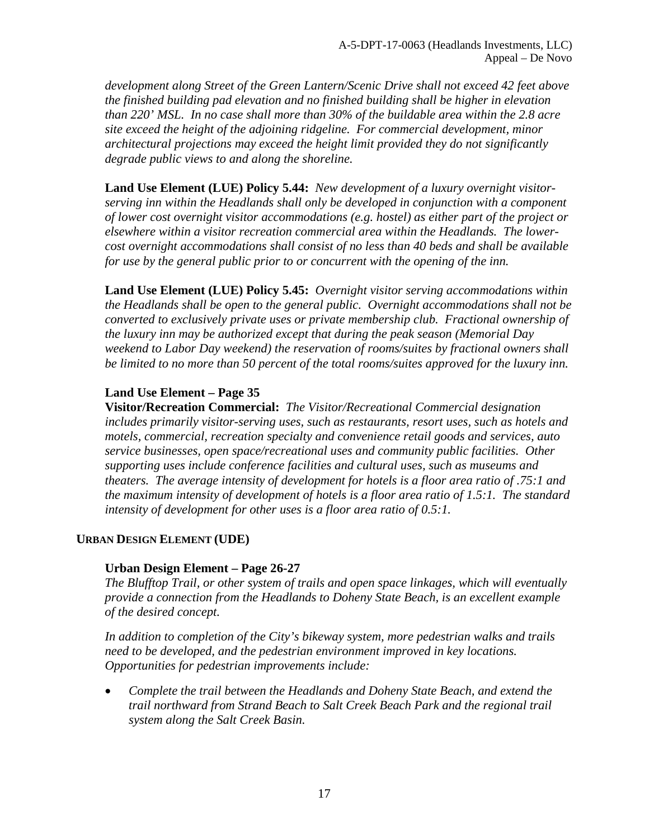*development along Street of the Green Lantern/Scenic Drive shall not exceed 42 feet above the finished building pad elevation and no finished building shall be higher in elevation than 220' MSL. In no case shall more than 30% of the buildable area within the 2.8 acre site exceed the height of the adjoining ridgeline. For commercial development, minor architectural projections may exceed the height limit provided they do not significantly degrade public views to and along the shoreline.* 

**Land Use Element (LUE) Policy 5.44:** *New development of a luxury overnight visitorserving inn within the Headlands shall only be developed in conjunction with a component of lower cost overnight visitor accommodations (e.g. hostel) as either part of the project or elsewhere within a visitor recreation commercial area within the Headlands. The lowercost overnight accommodations shall consist of no less than 40 beds and shall be available for use by the general public prior to or concurrent with the opening of the inn.*

**Land Use Element (LUE) Policy 5.45:** *Overnight visitor serving accommodations within the Headlands shall be open to the general public. Overnight accommodations shall not be converted to exclusively private uses or private membership club. Fractional ownership of the luxury inn may be authorized except that during the peak season (Memorial Day weekend to Labor Day weekend) the reservation of rooms/suites by fractional owners shall be limited to no more than 50 percent of the total rooms/suites approved for the luxury inn.*

### **Land Use Element – Page 35**

**Visitor/Recreation Commercial:** *The Visitor/Recreational Commercial designation includes primarily visitor-serving uses, such as restaurants, resort uses, such as hotels and motels, commercial, recreation specialty and convenience retail goods and services, auto service businesses, open space/recreational uses and community public facilities. Other supporting uses include conference facilities and cultural uses, such as museums and theaters. The average intensity of development for hotels is a floor area ratio of .75:1 and the maximum intensity of development of hotels is a floor area ratio of 1.5:1. The standard intensity of development for other uses is a floor area ratio of 0.5:1.* 

### **URBAN DESIGN ELEMENT (UDE)**

### **Urban Design Element – Page 26-27**

*The Blufftop Trail, or other system of trails and open space linkages, which will eventually provide a connection from the Headlands to Doheny State Beach, is an excellent example of the desired concept.* 

*In addition to completion of the City's bikeway system, more pedestrian walks and trails need to be developed, and the pedestrian environment improved in key locations. Opportunities for pedestrian improvements include:*

• *Complete the trail between the Headlands and Doheny State Beach, and extend the trail northward from Strand Beach to Salt Creek Beach Park and the regional trail system along the Salt Creek Basin.*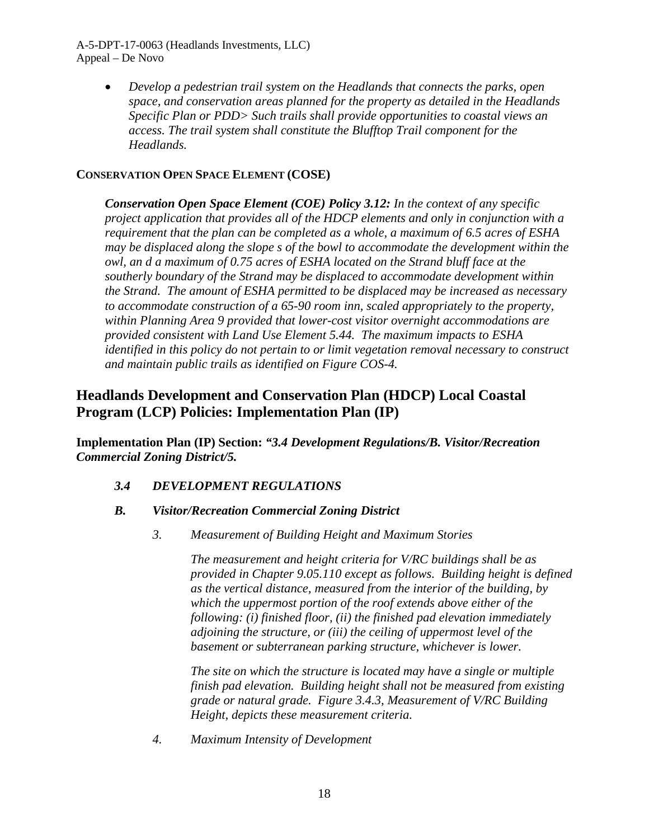A-5-DPT-17-0063 (Headlands Investments, LLC) Appeal – De Novo

> • *Develop a pedestrian trail system on the Headlands that connects the parks, open space, and conservation areas planned for the property as detailed in the Headlands Specific Plan or PDD> Such trails shall provide opportunities to coastal views an access. The trail system shall constitute the Blufftop Trail component for the Headlands.*

### **CONSERVATION OPEN SPACE ELEMENT (COSE)**

*Conservation Open Space Element (COE) Policy 3.12: In the context of any specific project application that provides all of the HDCP elements and only in conjunction with a requirement that the plan can be completed as a whole, a maximum of 6.5 acres of ESHA may be displaced along the slope s of the bowl to accommodate the development within the owl, an d a maximum of 0.75 acres of ESHA located on the Strand bluff face at the southerly boundary of the Strand may be displaced to accommodate development within the Strand. The amount of ESHA permitted to be displaced may be increased as necessary to accommodate construction of a 65-90 room inn, scaled appropriately to the property, within Planning Area 9 provided that lower-cost visitor overnight accommodations are provided consistent with Land Use Element 5.44. The maximum impacts to ESHA identified in this policy do not pertain to or limit vegetation removal necessary to construct and maintain public trails as identified on Figure COS-4.* 

## **Headlands Development and Conservation Plan (HDCP) Local Coastal Program (LCP) Policies: Implementation Plan (IP)**

**Implementation Plan (IP) Section:** *"3.4 Development Regulations/B. Visitor/Recreation Commercial Zoning District/5.*

*3.4 DEVELOPMENT REGULATIONS*

### *B. Visitor/Recreation Commercial Zoning District*

*3. Measurement of Building Height and Maximum Stories* 

*The measurement and height criteria for V/RC buildings shall be as provided in Chapter 9.05.110 except as follows. Building height is defined as the vertical distance, measured from the interior of the building, by which the uppermost portion of the roof extends above either of the following: (i) finished floor, (ii) the finished pad elevation immediately adjoining the structure, or (iii) the ceiling of uppermost level of the basement or subterranean parking structure, whichever is lower.* 

*The site on which the structure is located may have a single or multiple finish pad elevation. Building height shall not be measured from existing grade or natural grade. Figure 3.4.3, Measurement of V/RC Building Height, depicts these measurement criteria.* 

*4. Maximum Intensity of Development*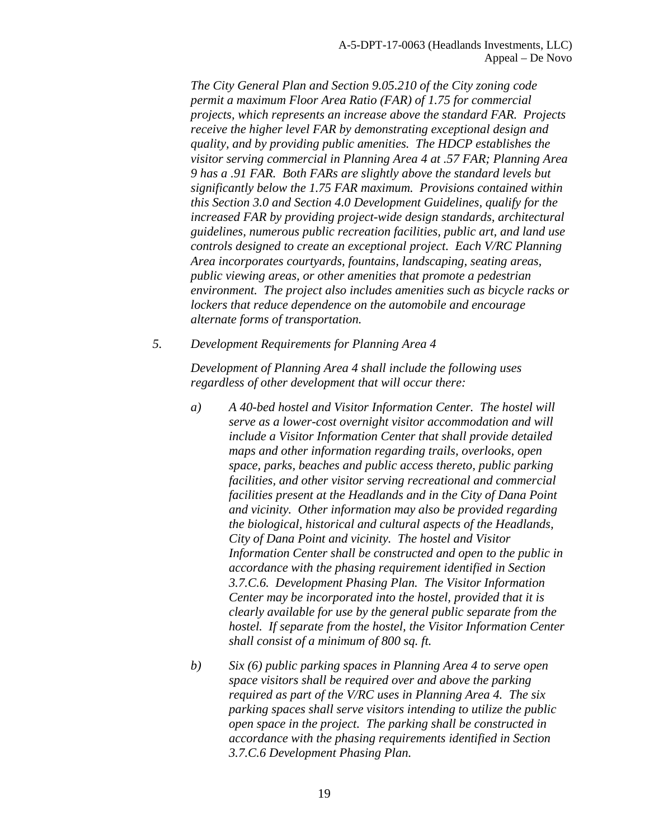*The City General Plan and Section 9.05.210 of the City zoning code permit a maximum Floor Area Ratio (FAR) of 1.75 for commercial projects, which represents an increase above the standard FAR. Projects receive the higher level FAR by demonstrating exceptional design and quality, and by providing public amenities. The HDCP establishes the visitor serving commercial in Planning Area 4 at .57 FAR; Planning Area 9 has a .91 FAR. Both FARs are slightly above the standard levels but significantly below the 1.75 FAR maximum. Provisions contained within this Section 3.0 and Section 4.0 Development Guidelines, qualify for the increased FAR by providing project-wide design standards, architectural guidelines, numerous public recreation facilities, public art, and land use controls designed to create an exceptional project. Each V/RC Planning Area incorporates courtyards, fountains, landscaping, seating areas, public viewing areas, or other amenities that promote a pedestrian environment. The project also includes amenities such as bicycle racks or lockers that reduce dependence on the automobile and encourage alternate forms of transportation.* 

*5. Development Requirements for Planning Area 4* 

*Development of Planning Area 4 shall include the following uses regardless of other development that will occur there:* 

- *a) A 40-bed hostel and Visitor Information Center. The hostel will serve as a lower-cost overnight visitor accommodation and will include a Visitor Information Center that shall provide detailed maps and other information regarding trails, overlooks, open space, parks, beaches and public access thereto, public parking facilities, and other visitor serving recreational and commercial facilities present at the Headlands and in the City of Dana Point and vicinity. Other information may also be provided regarding the biological, historical and cultural aspects of the Headlands, City of Dana Point and vicinity. The hostel and Visitor Information Center shall be constructed and open to the public in accordance with the phasing requirement identified in Section 3.7.C.6. Development Phasing Plan. The Visitor Information Center may be incorporated into the hostel, provided that it is clearly available for use by the general public separate from the hostel. If separate from the hostel, the Visitor Information Center shall consist of a minimum of 800 sq. ft.*
- *b) Six (6) public parking spaces in Planning Area 4 to serve open space visitors shall be required over and above the parking required as part of the V/RC uses in Planning Area 4. The six parking spaces shall serve visitors intending to utilize the public open space in the project. The parking shall be constructed in accordance with the phasing requirements identified in Section 3.7.C.6 Development Phasing Plan.*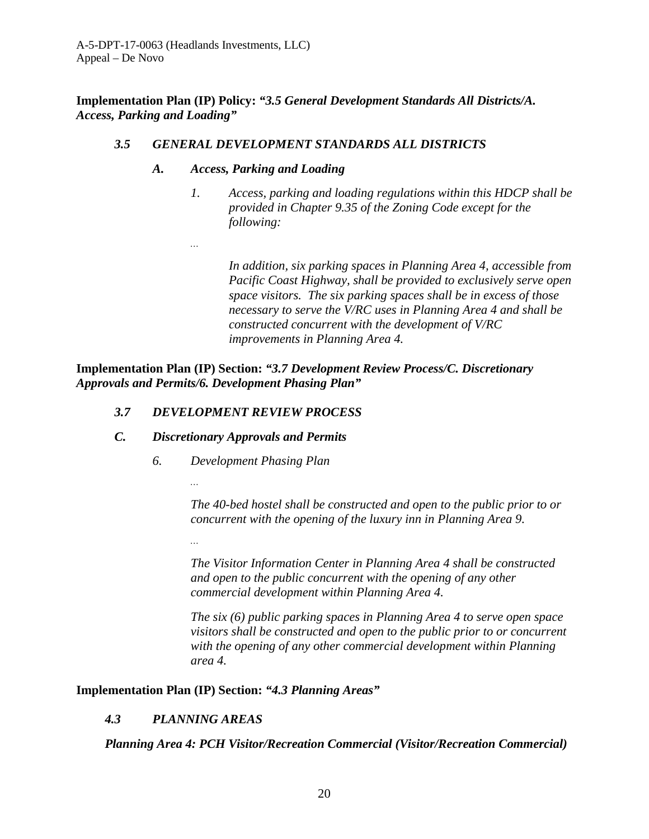*…* 

**Implementation Plan (IP) Policy:** *"3.5 General Development Standards All Districts/A. Access, Parking and Loading"* 

### *3.5 GENERAL DEVELOPMENT STANDARDS ALL DISTRICTS*

### *A. Access, Parking and Loading*

*1. Access, parking and loading regulations within this HDCP shall be provided in Chapter 9.35 of the Zoning Code except for the following:* 

*In addition, six parking spaces in Planning Area 4, accessible from Pacific Coast Highway, shall be provided to exclusively serve open space visitors. The six parking spaces shall be in excess of those necessary to serve the V/RC uses in Planning Area 4 and shall be constructed concurrent with the development of V/RC improvements in Planning Area 4.* 

**Implementation Plan (IP) Section:** *"3.7 Development Review Process/C. Discretionary Approvals and Permits/6. Development Phasing Plan"*

### *3.7 DEVELOPMENT REVIEW PROCESS*

### *C. Discretionary Approvals and Permits*

*…* 

*…* 

*6. Development Phasing Plan* 

*The 40-bed hostel shall be constructed and open to the public prior to or concurrent with the opening of the luxury inn in Planning Area 9.* 

*The Visitor Information Center in Planning Area 4 shall be constructed and open to the public concurrent with the opening of any other commercial development within Planning Area 4.* 

*The six (6) public parking spaces in Planning Area 4 to serve open space visitors shall be constructed and open to the public prior to or concurrent with the opening of any other commercial development within Planning area 4.* 

**Implementation Plan (IP) Section:** *"4.3 Planning Areas"*

## *4.3 PLANNING AREAS*

*Planning Area 4: PCH Visitor/Recreation Commercial (Visitor/Recreation Commercial)*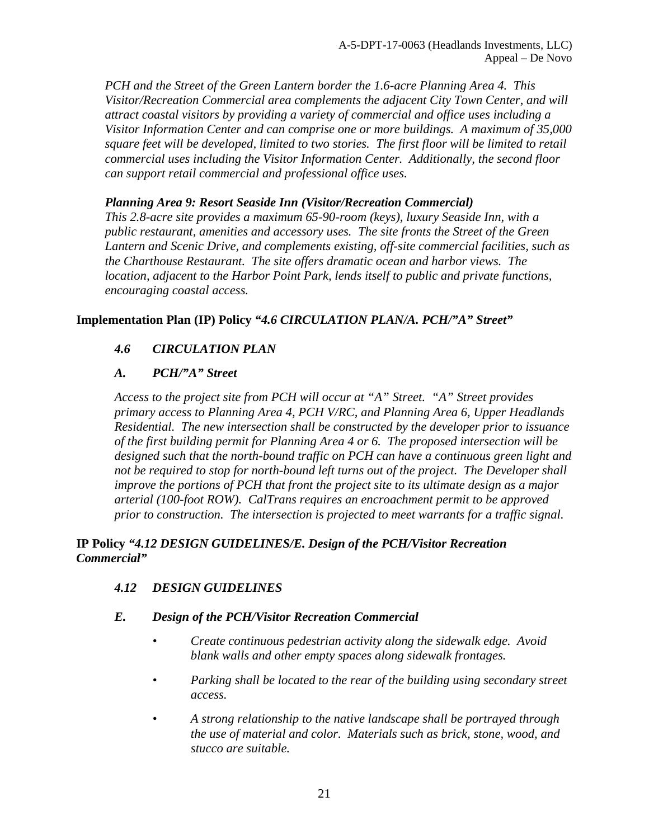*PCH and the Street of the Green Lantern border the 1.6-acre Planning Area 4. This Visitor/Recreation Commercial area complements the adjacent City Town Center, and will attract coastal visitors by providing a variety of commercial and office uses including a Visitor Information Center and can comprise one or more buildings. A maximum of 35,000 square feet will be developed, limited to two stories. The first floor will be limited to retail commercial uses including the Visitor Information Center. Additionally, the second floor can support retail commercial and professional office uses.* 

### *Planning Area 9: Resort Seaside Inn (Visitor/Recreation Commercial)*

*This 2.8-acre site provides a maximum 65-90-room (keys), luxury Seaside Inn, with a public restaurant, amenities and accessory uses. The site fronts the Street of the Green Lantern and Scenic Drive, and complements existing, off-site commercial facilities, such as the Charthouse Restaurant. The site offers dramatic ocean and harbor views. The location, adjacent to the Harbor Point Park, lends itself to public and private functions, encouraging coastal access.* 

### **Implementation Plan (IP) Policy** *"4.6 CIRCULATION PLAN/A. PCH/"A" Street"*

## *4.6 CIRCULATION PLAN*

## *A. PCH/"A" Street*

*Access to the project site from PCH will occur at "A" Street. "A" Street provides primary access to Planning Area 4, PCH V/RC, and Planning Area 6, Upper Headlands Residential. The new intersection shall be constructed by the developer prior to issuance of the first building permit for Planning Area 4 or 6. The proposed intersection will be designed such that the north-bound traffic on PCH can have a continuous green light and not be required to stop for north-bound left turns out of the project. The Developer shall improve the portions of PCH that front the project site to its ultimate design as a major arterial (100-foot ROW). CalTrans requires an encroachment permit to be approved prior to construction. The intersection is projected to meet warrants for a traffic signal.* 

### **IP Policy** *"4.12 DESIGN GUIDELINES/E. Design of the PCH/Visitor Recreation Commercial"*

## *4.12 DESIGN GUIDELINES*

### *E. Design of the PCH/Visitor Recreation Commercial*

- *Create continuous pedestrian activity along the sidewalk edge. Avoid blank walls and other empty spaces along sidewalk frontages.*
- *Parking shall be located to the rear of the building using secondary street access.*
- *A strong relationship to the native landscape shall be portrayed through the use of material and color. Materials such as brick, stone, wood, and stucco are suitable.*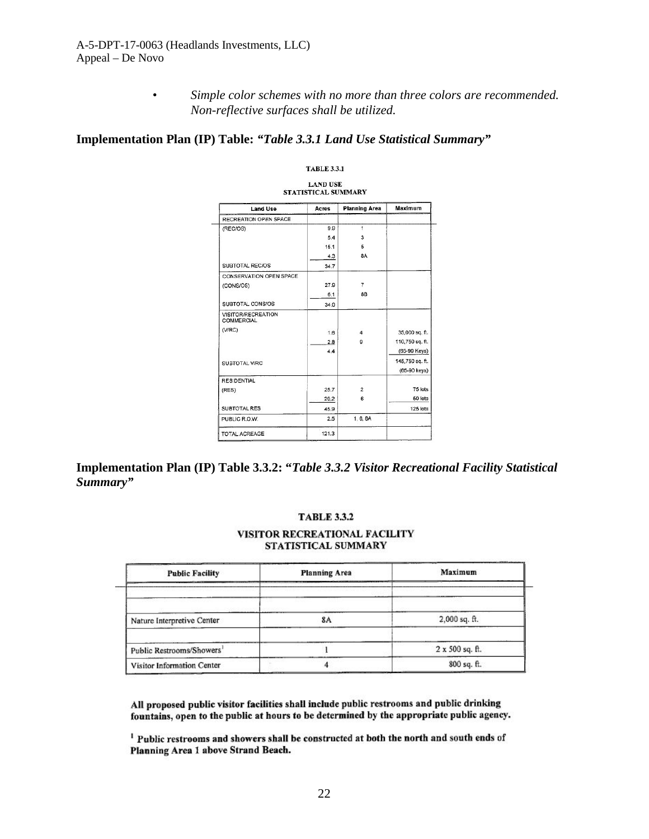*• Simple color schemes with no more than three colors are recommended. Non-reflective surfaces shall be utilized.*

### **Implementation Plan (IP) Table:** *"Table 3.3.1 Land Use Statistical Summary"*

| <b>Land Use</b>                  | Acres | <b>Planning Area</b> | Maximum         |
|----------------------------------|-------|----------------------|-----------------|
| RECREATION OPEN SPACE            |       |                      |                 |
| (REC/OS)                         | 9.9   | $\ddot{\phantom{1}}$ |                 |
|                                  | 5.4   | 3                    |                 |
|                                  | 15.1  | 5                    |                 |
|                                  | 4.3   | <b>8A</b>            |                 |
| <b>SUBTOTAL REC/OS</b>           | 34.7  |                      |                 |
| CONSERVATION OPEN SPACE          |       |                      |                 |
| (CONS/OS)                        | 27.9  | $\overline{7}$       |                 |
|                                  | 6.1   | 8B                   |                 |
| SUBTOTAL CONS/OS                 | 34.0  |                      |                 |
| VISITOR/RECREATION<br>COMMERCIAL |       |                      |                 |
| ( V/RC)                          | 1.6   | $\overline{4}$       | 35,000 sq. ft.  |
|                                  | 2.8   | 9                    | 110,750 sq. ft. |
|                                  | 44    |                      | (65-90 Keys)    |
| SUBTOTAL V/RC                    |       |                      | 145,750 sq. ft. |
|                                  |       |                      | (65-90 keys)    |
| <b>RESIDENTIAL</b>               |       |                      |                 |
| (RES)                            | 25.7  | $\overline{2}$       | 75 lots         |
|                                  | 20.2  | 6                    | 50 lots         |
| SUBTOTAL RES                     | 45.9  |                      | 125 lots        |
| PUBLIC R.O.W.                    | 2.5   | 1, 6, 8A             |                 |

TARLE 331

**Implementation Plan (IP) Table 3.3.2: "***Table 3.3.2 Visitor Recreational Facility Statistical Summary"*

#### **TABLE 3.3.2**

#### VISITOR RECREATIONAL FACILITY STATISTICAL SUMMARY

| <b>Public Facility</b>                | <b>Planning Area</b> | Maximum         |
|---------------------------------------|----------------------|-----------------|
|                                       |                      |                 |
| Nature Interpretive Center            |                      | 2,000 sq. ft.   |
| Public Restrooms/Showers <sup>1</sup> |                      | 2 x 500 sq. ft. |
| Visitor Information Center            |                      | 800 sq. ft.     |

All proposed public visitor facilities shall include public restrooms and public drinking fountains, open to the public at hours to be determined by the appropriate public agency.

<sup>1</sup> Public restrooms and showers shall be constructed at both the north and south ends of Planning Area 1 above Strand Beach.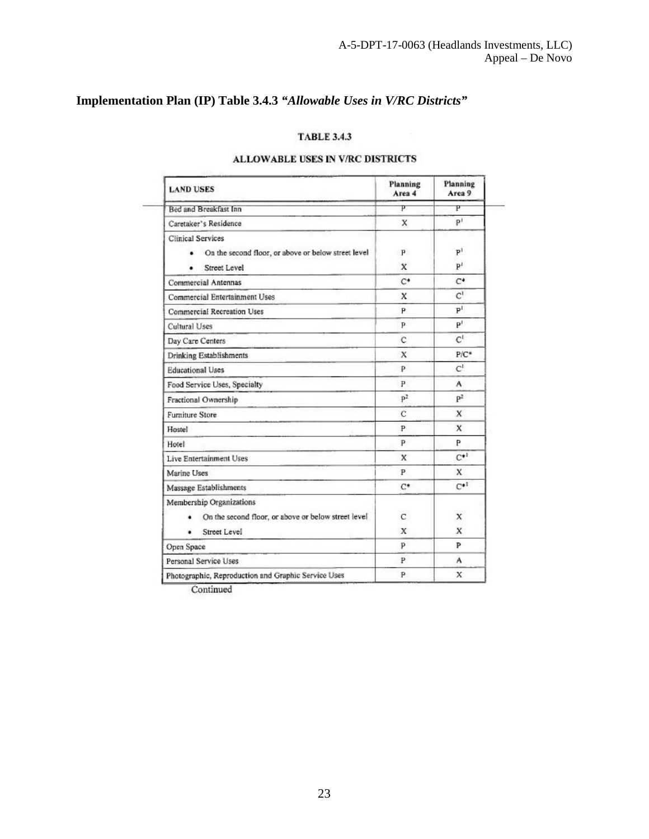## **Implementation Plan (IP) Table 3.4.3** *"Allowable Uses in V/RC Districts"*

### **TABLE 3.4.3**

### **ALLOWABLE USES IN V/RC DISTRICTS**

| <b>LAND USES</b>                                                                                | Planning<br>Area 4 | Planning<br>Area 9               |
|-------------------------------------------------------------------------------------------------|--------------------|----------------------------------|
| <b>Bed and Breakfast Inn</b>                                                                    | P                  | P                                |
| Caretaker's Residence                                                                           | x                  | p <sup>1</sup>                   |
| <b>Clinical Services</b><br>On the second floor, or above or below street level<br>Street Level | P<br>$\mathbf{x}$  | P <sup>1</sup><br>$\mathbf{p}^1$ |
| <b>Commercial Antennas</b>                                                                      | $C^*$              | $C^*$                            |
| Commercial Entertainment Uses                                                                   | x                  | $C^1$                            |
| <b>Commercial Recreation Uses</b>                                                               | P.                 | $P^{I}$                          |
| Cultural Uses                                                                                   | p.                 | P <sup>T</sup>                   |
| Day Care Centers                                                                                | c                  | $C^1$                            |
| Drinking Establishments                                                                         | X                  | $P/C^*$                          |
| <b>Educational Uses</b>                                                                         | P.                 | C <sup>1</sup>                   |
| Food Service Uses, Specialty                                                                    | P.                 | A                                |
| Fractional Ownership                                                                            | p <sup>2</sup>     | P <sup>2</sup>                   |
| <b>Furniture Store</b>                                                                          | C                  | X                                |
| Hostel                                                                                          | P                  | $\mathbf{x}$                     |
| Hotel                                                                                           | P                  | P                                |
| Live Entertainment Uses                                                                         | X                  | $C^{*1}$                         |
| Marine Uses                                                                                     | P                  | X                                |
| Massage Establishments                                                                          | $C^*$              | $C*1$                            |
| Membership Organizations<br>On the second floor, or above or below street level<br>Street Level | $\mathbf{C}$<br>x  | X<br>$\mathbf{x}$                |
| Open Space                                                                                      | P                  | Þ                                |
| Personal Service Uses                                                                           | P.                 | A                                |
| Photographic, Reproduction and Graphic Service Uses                                             | P                  | x                                |

Continued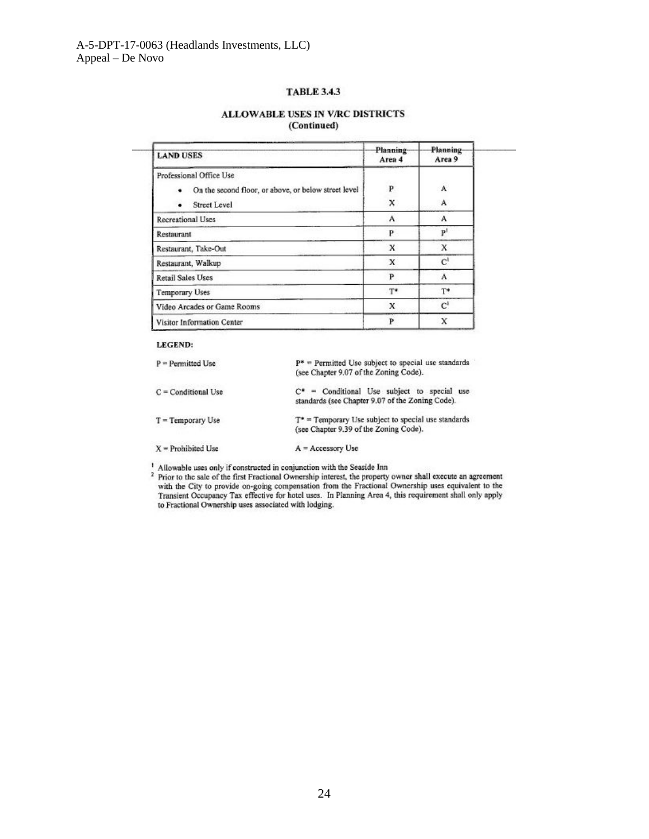#### **TABLE 3.4.3**

#### ALLOWABLE USES IN V/RC DISTRICTS (Continued)

| <b>LAND USES</b>                                          | <b>Planning</b><br>Area 4 | <b>Planning</b><br>Area 9 |
|-----------------------------------------------------------|---------------------------|---------------------------|
| Professional Office Use                                   |                           |                           |
| On the second floor, or above, or below street level<br>٠ | P                         | A                         |
| Street Level                                              | x                         | A                         |
| <b>Recreational Uses</b>                                  | A                         | A                         |
| Restaurant                                                | p                         | $\mathbf{p}$              |
| Restaurant, Take-Out                                      | X                         | x                         |
| Restaurant, Walkup                                        | X                         | $C^1$                     |
| <b>Retail Sales Uses</b>                                  | P                         | A                         |
| Temporary Uses                                            | $T^*$                     | $T^*$                     |
| Video Arcades or Game Rooms                               | X                         | $\mathbf{C}^1$            |
| Visitor Information Center                                | P                         | x                         |

#### **LEGEND:**

| $P = P$ ermitted Use  | $P^*$ = Permitted Use subject to special use standards<br>(see Chapter 9.07 of the Zoning Code).   |
|-----------------------|----------------------------------------------------------------------------------------------------|
| $C =$ Conditional Use | $C^*$ = Conditional Use subject to special use<br>standards (see Chapter 9.07 of the Zoning Code). |
| $T = Temporary Use$   | $T^*$ = Temporary Use subject to special use standards<br>(see Chapter 9.39 of the Zoning Code).   |
| $X =$ Prohibited Use  | $A = Accessory Use$                                                                                |

<sup>1</sup> Allowable uses only if constructed in conjunction with the Seaside Inn<br><sup>2</sup> Prior to the sale of the first Fractional Ownership interest, the property owner shall execute an agreement<br>with the City to provide on-going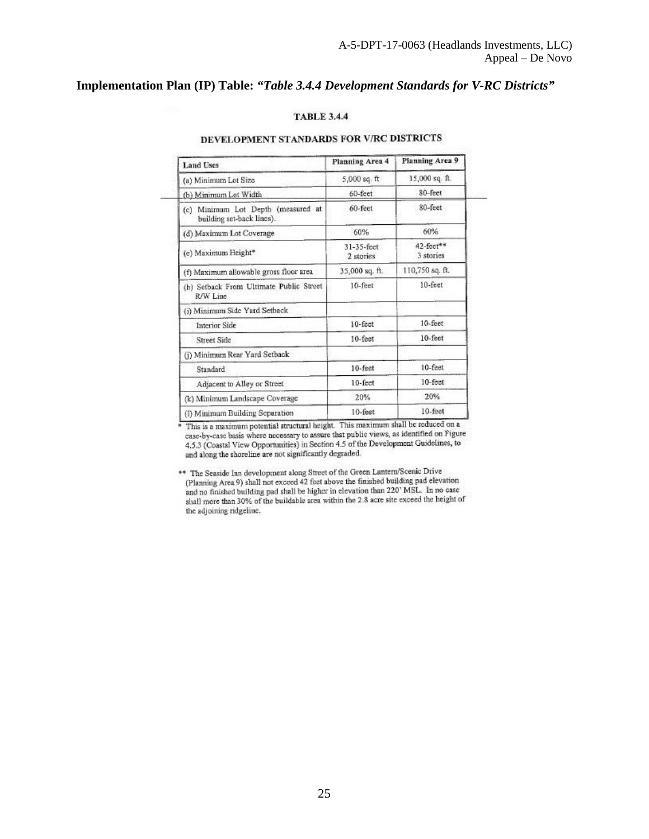### **Implementation Plan (IP) Table:** *"Table 3.4.4 Development Standards for V-RC Districts"*

### **TABLE 3.4.4**

### DEVELOPMENT STANDARDS FOR V/RC DISTRICTS

| <b>Land Uses</b>                                                | Planning Area 4         | Planning Area 9        |
|-----------------------------------------------------------------|-------------------------|------------------------|
| (a) Minimum Lot Size                                            | $5,000$ sq. ft          | 15,000 sq. ft.         |
| (b) Minimum Lot Width                                           | 60-feet                 | 80-feet                |
| (c) Minimum Lot Depth (measured at<br>building set-back lines). | 60-feet                 | 80-feet                |
| (d) Maximum Lot Coverage                                        | 60%                     | 60%                    |
| (c) Maximum Height*                                             | 31-35-feet<br>2 stories | 42-feet**<br>3 stories |
| (f) Maximum allowable gross floor area                          | 35,000 sq. ft.          | 110,750 sq. ft.        |
| (h) Setback From Ultimate Public Street<br>R/W Line             | 10-feet                 | $10$ -feet             |
| (i) Minimum Side Yard Setback                                   |                         |                        |
| <b>Interior Side</b>                                            | $10$ -fect              | 10-feet                |
| Street Side                                                     | $10$ -feet              | $10$ -feet             |
| (i) Minimum Rear Yard Setback                                   |                         |                        |
| Standard                                                        | $10$ -feet              | 10-feet                |
| Adjacent to Alley or Street                                     | $10$ -feet              | $10$ -fect             |
| (k) Minimum Landscape Coverage                                  | 20%                     | 20%                    |
| (I) Minimum Building Separation                                 | 10-feet                 | 10-feet                |

\* This is a maximum potential structural height. This maximum shall be reduced on a case-by-case basis where necessary to assure that public views, as identified on Figure 4.5.3 (Coastal View Opportunities) in Section 4.5 of the Development Guidelines, to and along the shoreline are not significantly degraded.

\*\* The Seaside Inn development along Street of the Green Lantern/Scenic Drive (Planning Area 9) shall not exceed 42 feet above the finished building pad elevation and no finished building pad shall be higher in elevation than 220' MSL. In no case shall more than 30% of the buildable area within the 2.8 acre site exceed the height of the adjoining ridgeline.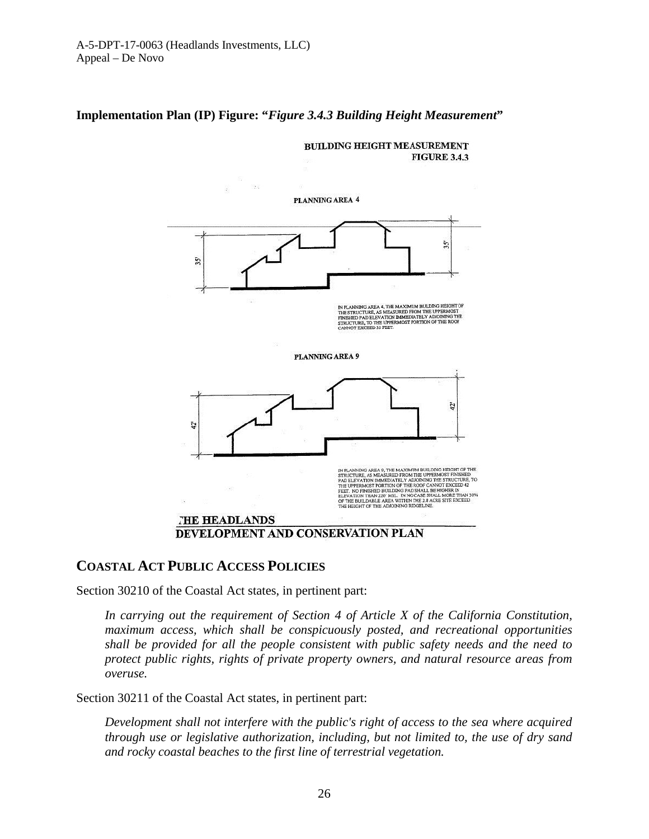### **Implementation Plan (IP) Figure: "***Figure 3.4.3 Building Height Measurement***"**



### **COASTAL ACT PUBLIC ACCESS POLICIES**

Section 30210 of the Coastal Act states, in pertinent part:

*In carrying out the requirement of Section 4 of Article X of the California Constitution, maximum access, which shall be conspicuously posted, and recreational opportunities shall be provided for all the people consistent with public safety needs and the need to protect public rights, rights of private property owners, and natural resource areas from overuse.*

Section 30211 of the Coastal Act states, in pertinent part:

*Development shall not interfere with the public's right of access to the sea where acquired through use or legislative authorization, including, but not limited to, the use of dry sand and rocky coastal beaches to the first line of terrestrial vegetation.*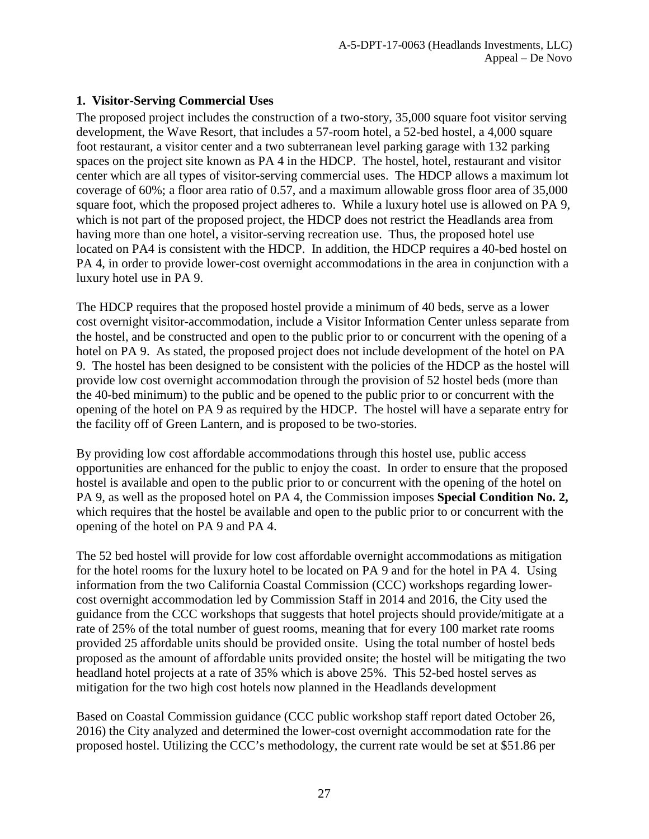## **1. Visitor-Serving Commercial Uses**

The proposed project includes the construction of a two-story, 35,000 square foot visitor serving development, the Wave Resort, that includes a 57-room hotel, a 52-bed hostel, a 4,000 square foot restaurant, a visitor center and a two subterranean level parking garage with 132 parking spaces on the project site known as PA 4 in the HDCP. The hostel, hotel, restaurant and visitor center which are all types of visitor-serving commercial uses. The HDCP allows a maximum lot coverage of 60%; a floor area ratio of 0.57, and a maximum allowable gross floor area of 35,000 square foot, which the proposed project adheres to. While a luxury hotel use is allowed on PA 9, which is not part of the proposed project, the HDCP does not restrict the Headlands area from having more than one hotel, a visitor-serving recreation use. Thus, the proposed hotel use located on PA4 is consistent with the HDCP. In addition, the HDCP requires a 40-bed hostel on PA 4, in order to provide lower-cost overnight accommodations in the area in conjunction with a luxury hotel use in PA 9.

The HDCP requires that the proposed hostel provide a minimum of 40 beds, serve as a lower cost overnight visitor-accommodation, include a Visitor Information Center unless separate from the hostel, and be constructed and open to the public prior to or concurrent with the opening of a hotel on PA 9. As stated, the proposed project does not include development of the hotel on PA 9. The hostel has been designed to be consistent with the policies of the HDCP as the hostel will provide low cost overnight accommodation through the provision of 52 hostel beds (more than the 40-bed minimum) to the public and be opened to the public prior to or concurrent with the opening of the hotel on PA 9 as required by the HDCP. The hostel will have a separate entry for the facility off of Green Lantern, and is proposed to be two-stories.

By providing low cost affordable accommodations through this hostel use, public access opportunities are enhanced for the public to enjoy the coast. In order to ensure that the proposed hostel is available and open to the public prior to or concurrent with the opening of the hotel on PA 9, as well as the proposed hotel on PA 4, the Commission imposes **Special Condition No. 2,** which requires that the hostel be available and open to the public prior to or concurrent with the opening of the hotel on PA 9 and PA 4.

The 52 bed hostel will provide for low cost affordable overnight accommodations as mitigation for the hotel rooms for the luxury hotel to be located on PA 9 and for the hotel in PA 4. Using information from the two California Coastal Commission (CCC) workshops regarding lowercost overnight accommodation led by Commission Staff in 2014 and 2016, the City used the guidance from the CCC workshops that suggests that hotel projects should provide/mitigate at a rate of 25% of the total number of guest rooms, meaning that for every 100 market rate rooms provided 25 affordable units should be provided onsite. Using the total number of hostel beds proposed as the amount of affordable units provided onsite; the hostel will be mitigating the two headland hotel projects at a rate of 35% which is above 25%. This 52-bed hostel serves as mitigation for the two high cost hotels now planned in the Headlands development

Based on Coastal Commission guidance (CCC public workshop staff report dated October 26, 2016) the City analyzed and determined the lower-cost overnight accommodation rate for the proposed hostel. Utilizing the CCC's methodology, the current rate would be set at \$51.86 per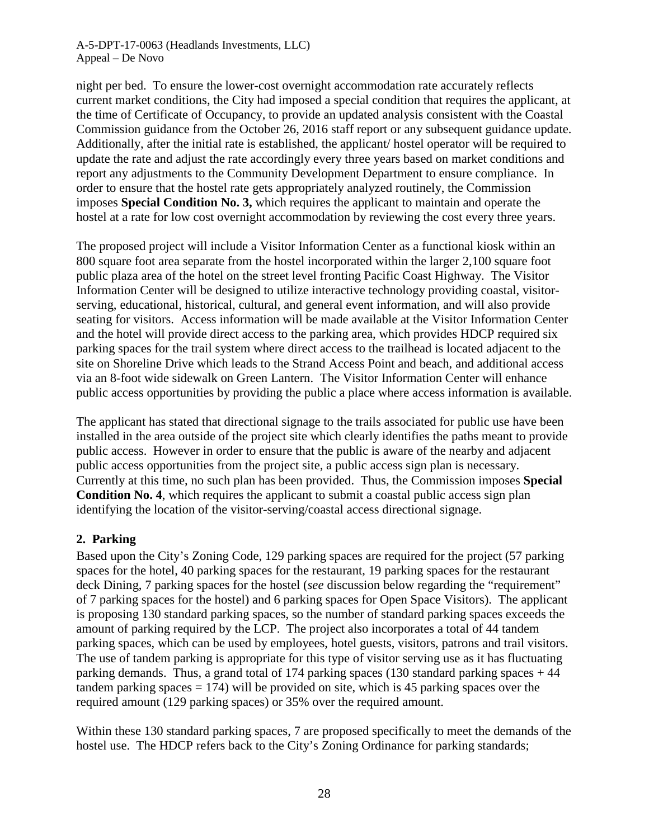A-5-DPT-17-0063 (Headlands Investments, LLC) Appeal – De Novo

night per bed. To ensure the lower-cost overnight accommodation rate accurately reflects current market conditions, the City had imposed a special condition that requires the applicant, at the time of Certificate of Occupancy, to provide an updated analysis consistent with the Coastal Commission guidance from the October 26, 2016 staff report or any subsequent guidance update. Additionally, after the initial rate is established, the applicant/ hostel operator will be required to update the rate and adjust the rate accordingly every three years based on market conditions and report any adjustments to the Community Development Department to ensure compliance. In order to ensure that the hostel rate gets appropriately analyzed routinely, the Commission imposes **Special Condition No. 3,** which requires the applicant to maintain and operate the hostel at a rate for low cost overnight accommodation by reviewing the cost every three years.

The proposed project will include a Visitor Information Center as a functional kiosk within an 800 square foot area separate from the hostel incorporated within the larger 2,100 square foot public plaza area of the hotel on the street level fronting Pacific Coast Highway. The Visitor Information Center will be designed to utilize interactive technology providing coastal, visitorserving, educational, historical, cultural, and general event information, and will also provide seating for visitors. Access information will be made available at the Visitor Information Center and the hotel will provide direct access to the parking area, which provides HDCP required six parking spaces for the trail system where direct access to the trailhead is located adjacent to the site on Shoreline Drive which leads to the Strand Access Point and beach, and additional access via an 8-foot wide sidewalk on Green Lantern. The Visitor Information Center will enhance public access opportunities by providing the public a place where access information is available.

The applicant has stated that directional signage to the trails associated for public use have been installed in the area outside of the project site which clearly identifies the paths meant to provide public access. However in order to ensure that the public is aware of the nearby and adjacent public access opportunities from the project site, a public access sign plan is necessary. Currently at this time, no such plan has been provided. Thus, the Commission imposes **Special Condition No. 4**, which requires the applicant to submit a coastal public access sign plan identifying the location of the visitor-serving/coastal access directional signage.

### **2. Parking**

Based upon the City's Zoning Code, 129 parking spaces are required for the project (57 parking spaces for the hotel, 40 parking spaces for the restaurant, 19 parking spaces for the restaurant deck Dining, 7 parking spaces for the hostel (*see* discussion below regarding the "requirement" of 7 parking spaces for the hostel) and 6 parking spaces for Open Space Visitors). The applicant is proposing 130 standard parking spaces, so the number of standard parking spaces exceeds the amount of parking required by the LCP. The project also incorporates a total of 44 tandem parking spaces, which can be used by employees, hotel guests, visitors, patrons and trail visitors. The use of tandem parking is appropriate for this type of visitor serving use as it has fluctuating parking demands. Thus, a grand total of 174 parking spaces (130 standard parking spaces + 44 tandem parking spaces  $= 174$ ) will be provided on site, which is 45 parking spaces over the required amount (129 parking spaces) or 35% over the required amount.

Within these 130 standard parking spaces, 7 are proposed specifically to meet the demands of the hostel use. The HDCP refers back to the City's Zoning Ordinance for parking standards;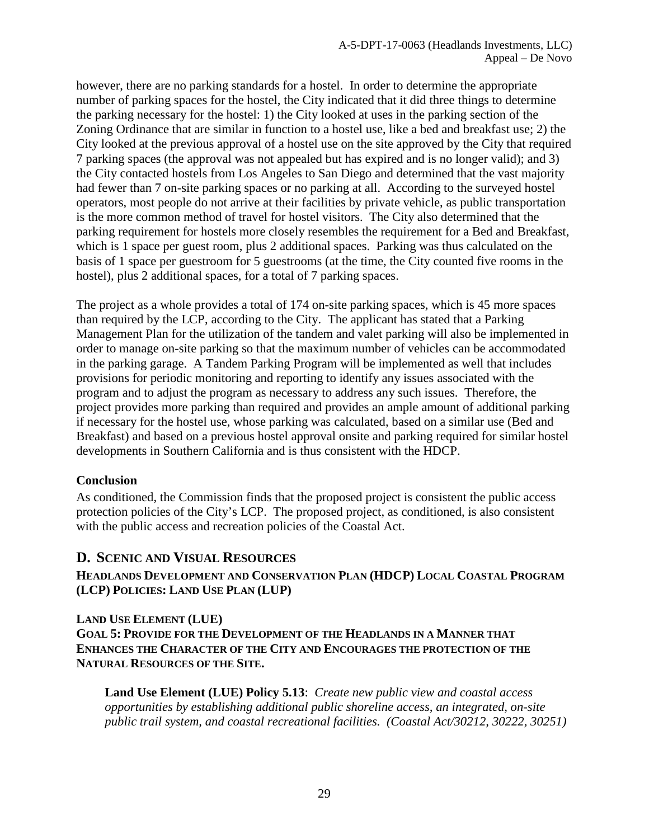however, there are no parking standards for a hostel. In order to determine the appropriate number of parking spaces for the hostel, the City indicated that it did three things to determine the parking necessary for the hostel: 1) the City looked at uses in the parking section of the Zoning Ordinance that are similar in function to a hostel use, like a bed and breakfast use; 2) the City looked at the previous approval of a hostel use on the site approved by the City that required 7 parking spaces (the approval was not appealed but has expired and is no longer valid); and 3) the City contacted hostels from Los Angeles to San Diego and determined that the vast majority had fewer than 7 on-site parking spaces or no parking at all. According to the surveyed hostel operators, most people do not arrive at their facilities by private vehicle, as public transportation is the more common method of travel for hostel visitors. The City also determined that the parking requirement for hostels more closely resembles the requirement for a Bed and Breakfast, which is 1 space per guest room, plus 2 additional spaces. Parking was thus calculated on the basis of 1 space per guestroom for 5 guestrooms (at the time, the City counted five rooms in the hostel), plus 2 additional spaces, for a total of 7 parking spaces.

The project as a whole provides a total of 174 on-site parking spaces, which is 45 more spaces than required by the LCP, according to the City. The applicant has stated that a Parking Management Plan for the utilization of the tandem and valet parking will also be implemented in order to manage on-site parking so that the maximum number of vehicles can be accommodated in the parking garage. A Tandem Parking Program will be implemented as well that includes provisions for periodic monitoring and reporting to identify any issues associated with the program and to adjust the program as necessary to address any such issues. Therefore, the project provides more parking than required and provides an ample amount of additional parking if necessary for the hostel use, whose parking was calculated, based on a similar use (Bed and Breakfast) and based on a previous hostel approval onsite and parking required for similar hostel developments in Southern California and is thus consistent with the HDCP.

### **Conclusion**

As conditioned, the Commission finds that the proposed project is consistent the public access protection policies of the City's LCP. The proposed project, as conditioned, is also consistent with the public access and recreation policies of the Coastal Act.

## <span id="page-28-0"></span>**D. SCENIC AND VISUAL RESOURCES**

**HEADLANDS DEVELOPMENT AND CONSERVATION PLAN (HDCP) LOCAL COASTAL PROGRAM (LCP) POLICIES: LAND USE PLAN (LUP)**

## **LAND USE ELEMENT (LUE) GOAL 5: PROVIDE FOR THE DEVELOPMENT OF THE HEADLANDS IN A MANNER THAT ENHANCES THE CHARACTER OF THE CITY AND ENCOURAGES THE PROTECTION OF THE NATURAL RESOURCES OF THE SITE.**

**Land Use Element (LUE) Policy 5.13**: *Create new public view and coastal access opportunities by establishing additional public shoreline access, an integrated, on-site public trail system, and coastal recreational facilities. (Coastal Act/30212, 30222, 30251)*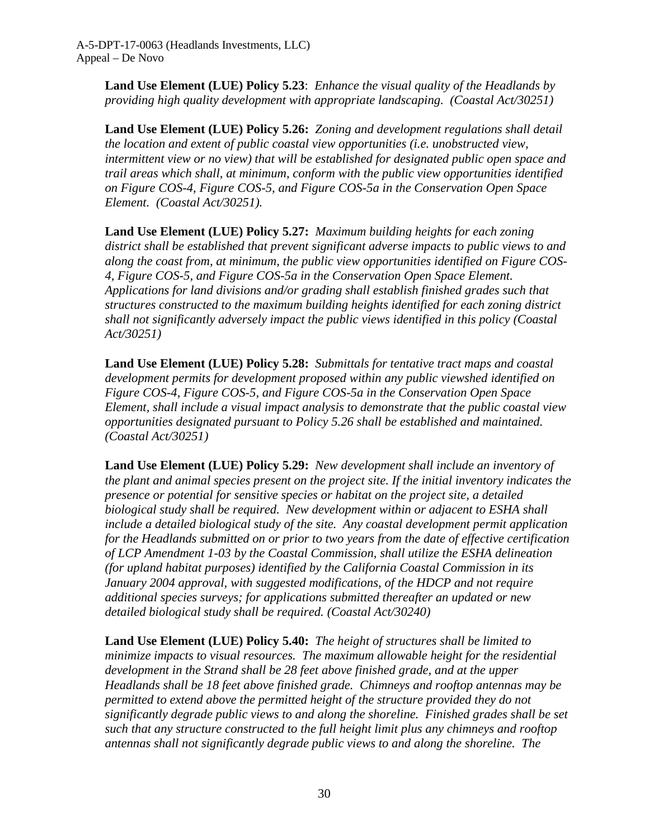**Land Use Element (LUE) Policy 5.23**: *Enhance the visual quality of the Headlands by providing high quality development with appropriate landscaping. (Coastal Act/30251)*

**Land Use Element (LUE) Policy 5.26:** *Zoning and development regulations shall detail the location and extent of public coastal view opportunities (i.e. unobstructed view, intermittent view or no view) that will be established for designated public open space and trail areas which shall, at minimum, conform with the public view opportunities identified on Figure COS-4, Figure COS-5, and Figure COS-5a in the Conservation Open Space Element. (Coastal Act/30251).* 

**Land Use Element (LUE) Policy 5.27:** *Maximum building heights for each zoning district shall be established that prevent significant adverse impacts to public views to and along the coast from, at minimum, the public view opportunities identified on Figure COS-4, Figure COS-5, and Figure COS-5a in the Conservation Open Space Element. Applications for land divisions and/or grading shall establish finished grades such that structures constructed to the maximum building heights identified for each zoning district shall not significantly adversely impact the public views identified in this policy (Coastal Act/30251)*

**Land Use Element (LUE) Policy 5.28:** *Submittals for tentative tract maps and coastal development permits for development proposed within any public viewshed identified on Figure COS-4, Figure COS-5, and Figure COS-5a in the Conservation Open Space Element, shall include a visual impact analysis to demonstrate that the public coastal view opportunities designated pursuant to Policy 5.26 shall be established and maintained. (Coastal Act/30251)* 

**Land Use Element (LUE) Policy 5.29:** *New development shall include an inventory of the plant and animal species present on the project site. If the initial inventory indicates the presence or potential for sensitive species or habitat on the project site, a detailed biological study shall be required. New development within or adjacent to ESHA shall include a detailed biological study of the site. Any coastal development permit application for the Headlands submitted on or prior to two years from the date of effective certification of LCP Amendment 1-03 by the Coastal Commission, shall utilize the ESHA delineation (for upland habitat purposes) identified by the California Coastal Commission in its January 2004 approval, with suggested modifications, of the HDCP and not require additional species surveys; for applications submitted thereafter an updated or new detailed biological study shall be required. (Coastal Act/30240)* 

**Land Use Element (LUE) Policy 5.40:** *The height of structures shall be limited to minimize impacts to visual resources. The maximum allowable height for the residential development in the Strand shall be 28 feet above finished grade, and at the upper Headlands shall be 18 feet above finished grade. Chimneys and rooftop antennas may be permitted to extend above the permitted height of the structure provided they do not significantly degrade public views to and along the shoreline. Finished grades shall be set such that any structure constructed to the full height limit plus any chimneys and rooftop antennas shall not significantly degrade public views to and along the shoreline. The*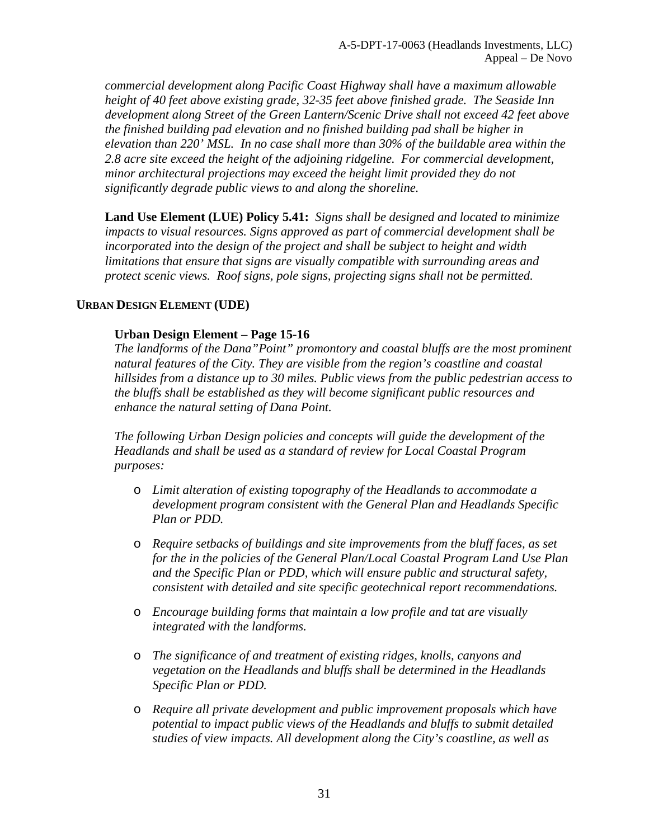*commercial development along Pacific Coast Highway shall have a maximum allowable height of 40 feet above existing grade, 32-35 feet above finished grade. The Seaside Inn development along Street of the Green Lantern/Scenic Drive shall not exceed 42 feet above the finished building pad elevation and no finished building pad shall be higher in elevation than 220' MSL. In no case shall more than 30% of the buildable area within the 2.8 acre site exceed the height of the adjoining ridgeline. For commercial development, minor architectural projections may exceed the height limit provided they do not significantly degrade public views to and along the shoreline.* 

**Land Use Element (LUE) Policy 5.41:** *Signs shall be designed and located to minimize impacts to visual resources. Signs approved as part of commercial development shall be incorporated into the design of the project and shall be subject to height and width limitations that ensure that signs are visually compatible with surrounding areas and protect scenic views. Roof signs, pole signs, projecting signs shall not be permitted.* 

### **URBAN DESIGN ELEMENT (UDE)**

### **Urban Design Element – Page 15-16**

*The landforms of the Dana"Point" promontory and coastal bluffs are the most prominent natural features of the City. They are visible from the region's coastline and coastal hillsides from a distance up to 30 miles. Public views from the public pedestrian access to the bluffs shall be established as they will become significant public resources and enhance the natural setting of Dana Point.* 

*The following Urban Design policies and concepts will guide the development of the Headlands and shall be used as a standard of review for Local Coastal Program purposes:* 

- o *Limit alteration of existing topography of the Headlands to accommodate a development program consistent with the General Plan and Headlands Specific Plan or PDD.*
- o *Require setbacks of buildings and site improvements from the bluff faces, as set for the in the policies of the General Plan/Local Coastal Program Land Use Plan and the Specific Plan or PDD, which will ensure public and structural safety, consistent with detailed and site specific geotechnical report recommendations.*
- o *Encourage building forms that maintain a low profile and tat are visually integrated with the landforms.*
- o *The significance of and treatment of existing ridges, knolls, canyons and vegetation on the Headlands and bluffs shall be determined in the Headlands Specific Plan or PDD.*
- o *Require all private development and public improvement proposals which have potential to impact public views of the Headlands and bluffs to submit detailed studies of view impacts. All development along the City's coastline, as well as*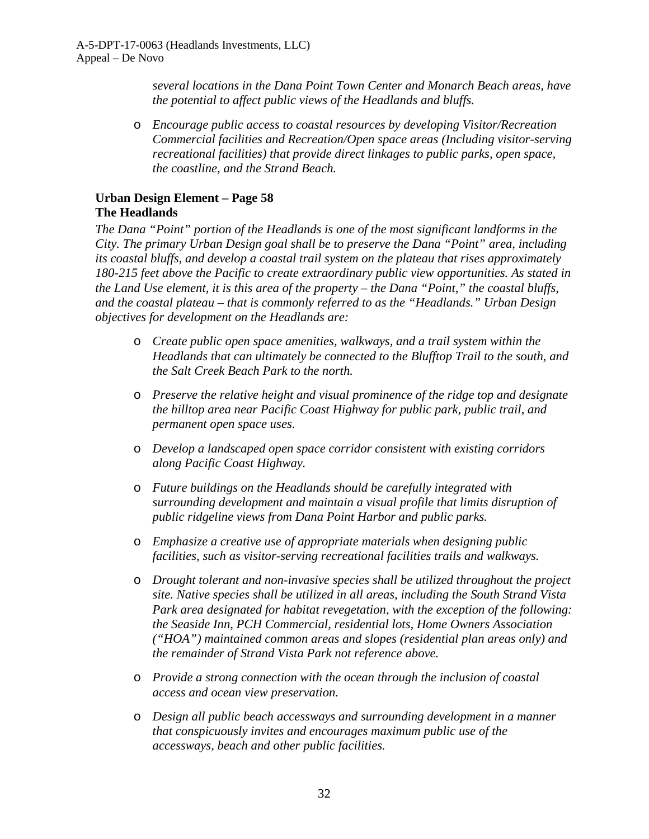*several locations in the Dana Point Town Center and Monarch Beach areas, have the potential to affect public views of the Headlands and bluffs.* 

o *Encourage public access to coastal resources by developing Visitor/Recreation Commercial facilities and Recreation/Open space areas (Including visitor-serving recreational facilities) that provide direct linkages to public parks, open space, the coastline, and the Strand Beach.* 

## **Urban Design Element – Page 58 The Headlands**

*The Dana "Point" portion of the Headlands is one of the most significant landforms in the City. The primary Urban Design goal shall be to preserve the Dana "Point" area, including its coastal bluffs, and develop a coastal trail system on the plateau that rises approximately 180-215 feet above the Pacific to create extraordinary public view opportunities. As stated in the Land Use element, it is this area of the property – the Dana "Point," the coastal bluffs, and the coastal plateau – that is commonly referred to as the "Headlands." Urban Design objectives for development on the Headlands are:*

- o *Create public open space amenities, walkways, and a trail system within the Headlands that can ultimately be connected to the Blufftop Trail to the south, and the Salt Creek Beach Park to the north.*
- o *Preserve the relative height and visual prominence of the ridge top and designate the hilltop area near Pacific Coast Highway for public park, public trail, and permanent open space uses.*
- o *Develop a landscaped open space corridor consistent with existing corridors along Pacific Coast Highway.*
- o *Future buildings on the Headlands should be carefully integrated with surrounding development and maintain a visual profile that limits disruption of public ridgeline views from Dana Point Harbor and public parks.*
- o *Emphasize a creative use of appropriate materials when designing public facilities, such as visitor-serving recreational facilities trails and walkways.*
- o *Drought tolerant and non-invasive species shall be utilized throughout the project site. Native species shall be utilized in all areas, including the South Strand Vista Park area designated for habitat revegetation, with the exception of the following: the Seaside Inn, PCH Commercial, residential lots, Home Owners Association ("HOA") maintained common areas and slopes (residential plan areas only) and the remainder of Strand Vista Park not reference above.*
- o *Provide a strong connection with the ocean through the inclusion of coastal access and ocean view preservation.*
- o *Design all public beach accessways and surrounding development in a manner that conspicuously invites and encourages maximum public use of the accessways, beach and other public facilities.*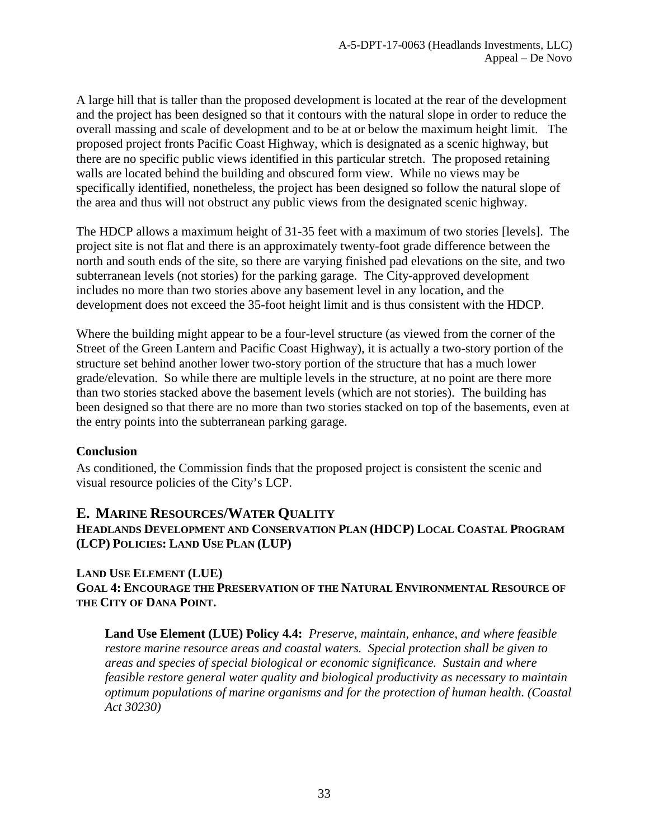A large hill that is taller than the proposed development is located at the rear of the development and the project has been designed so that it contours with the natural slope in order to reduce the overall massing and scale of development and to be at or below the maximum height limit. The proposed project fronts Pacific Coast Highway, which is designated as a scenic highway, but there are no specific public views identified in this particular stretch. The proposed retaining walls are located behind the building and obscured form view. While no views may be specifically identified, nonetheless, the project has been designed so follow the natural slope of the area and thus will not obstruct any public views from the designated scenic highway.

The HDCP allows a maximum height of 31-35 feet with a maximum of two stories [levels]. The project site is not flat and there is an approximately twenty-foot grade difference between the north and south ends of the site, so there are varying finished pad elevations on the site, and two subterranean levels (not stories) for the parking garage. The City-approved development includes no more than two stories above any basement level in any location, and the development does not exceed the 35-foot height limit and is thus consistent with the HDCP.

Where the building might appear to be a four-level structure (as viewed from the corner of the Street of the Green Lantern and Pacific Coast Highway), it is actually a two-story portion of the structure set behind another lower two-story portion of the structure that has a much lower grade/elevation. So while there are multiple levels in the structure, at no point are there more than two stories stacked above the basement levels (which are not stories). The building has been designed so that there are no more than two stories stacked on top of the basements, even at the entry points into the subterranean parking garage.

### **Conclusion**

As conditioned, the Commission finds that the proposed project is consistent the scenic and visual resource policies of the City's LCP.

## <span id="page-32-0"></span>**E. MARINE RESOURCES/WATER QUALITY**

## **HEADLANDS DEVELOPMENT AND CONSERVATION PLAN (HDCP) LOCAL COASTAL PROGRAM (LCP) POLICIES: LAND USE PLAN (LUP)**

### **LAND USE ELEMENT (LUE) GOAL 4: ENCOURAGE THE PRESERVATION OF THE NATURAL ENVIRONMENTAL RESOURCE OF THE CITY OF DANA POINT.**

**Land Use Element (LUE) Policy 4.4:** *Preserve, maintain, enhance, and where feasible restore marine resource areas and coastal waters. Special protection shall be given to areas and species of special biological or economic significance. Sustain and where feasible restore general water quality and biological productivity as necessary to maintain optimum populations of marine organisms and for the protection of human health. (Coastal Act 30230)*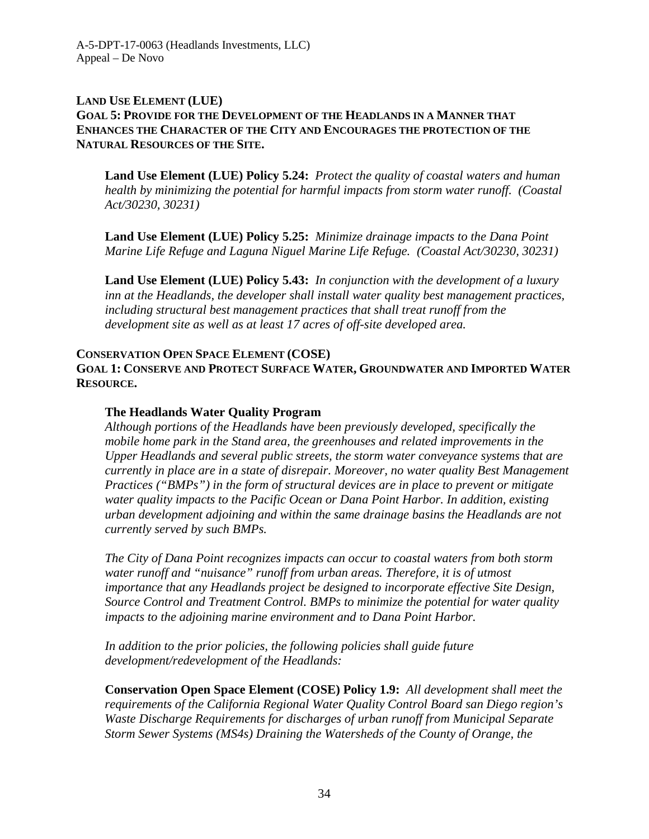### **LAND USE ELEMENT (LUE) GOAL 5: PROVIDE FOR THE DEVELOPMENT OF THE HEADLANDS IN A MANNER THAT ENHANCES THE CHARACTER OF THE CITY AND ENCOURAGES THE PROTECTION OF THE NATURAL RESOURCES OF THE SITE.**

**Land Use Element (LUE) Policy 5.24:** *Protect the quality of coastal waters and human health by minimizing the potential for harmful impacts from storm water runoff. (Coastal Act/30230, 30231)* 

**Land Use Element (LUE) Policy 5.25:** *Minimize drainage impacts to the Dana Point Marine Life Refuge and Laguna Niguel Marine Life Refuge. (Coastal Act/30230, 30231)* 

**Land Use Element (LUE) Policy 5.43:** *In conjunction with the development of a luxury inn at the Headlands, the developer shall install water quality best management practices, including structural best management practices that shall treat runoff from the development site as well as at least 17 acres of off-site developed area.*

### **CONSERVATION OPEN SPACE ELEMENT (COSE) GOAL 1: CONSERVE AND PROTECT SURFACE WATER, GROUNDWATER AND IMPORTED WATER RESOURCE.**

### **The Headlands Water Quality Program**

*Although portions of the Headlands have been previously developed, specifically the mobile home park in the Stand area, the greenhouses and related improvements in the Upper Headlands and several public streets, the storm water conveyance systems that are currently in place are in a state of disrepair. Moreover, no water quality Best Management Practices ("BMPs") in the form of structural devices are in place to prevent or mitigate water quality impacts to the Pacific Ocean or Dana Point Harbor. In addition, existing urban development adjoining and within the same drainage basins the Headlands are not currently served by such BMPs.*

*The City of Dana Point recognizes impacts can occur to coastal waters from both storm water runoff and "nuisance" runoff from urban areas. Therefore, it is of utmost importance that any Headlands project be designed to incorporate effective Site Design, Source Control and Treatment Control. BMPs to minimize the potential for water quality impacts to the adjoining marine environment and to Dana Point Harbor.* 

*In addition to the prior policies, the following policies shall guide future development/redevelopment of the Headlands:* 

**Conservation Open Space Element (COSE) Policy 1.9:** *All development shall meet the requirements of the California Regional Water Quality Control Board san Diego region's Waste Discharge Requirements for discharges of urban runoff from Municipal Separate Storm Sewer Systems (MS4s) Draining the Watersheds of the County of Orange, the*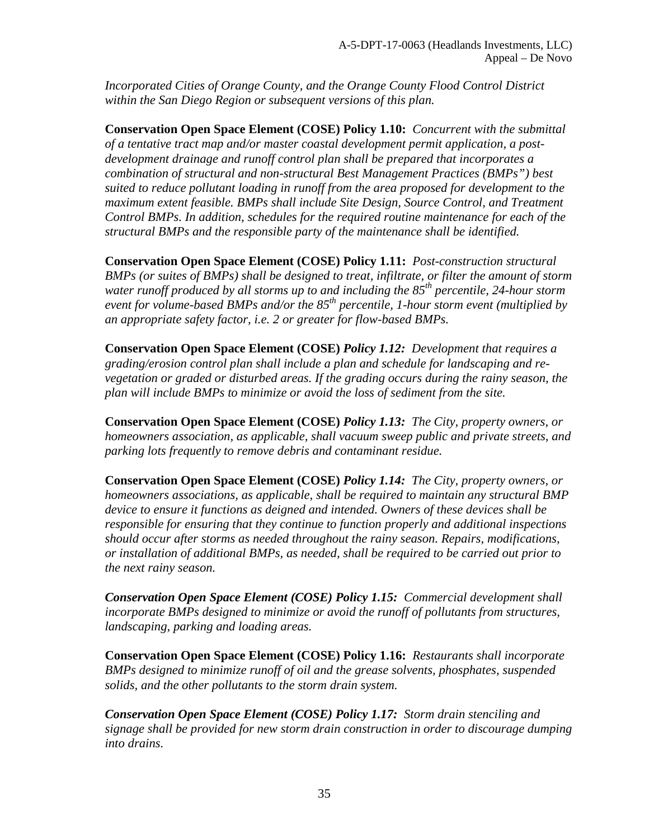*Incorporated Cities of Orange County, and the Orange County Flood Control District within the San Diego Region or subsequent versions of this plan.* 

**Conservation Open Space Element (COSE) Policy 1.10:** *Concurrent with the submittal of a tentative tract map and/or master coastal development permit application, a postdevelopment drainage and runoff control plan shall be prepared that incorporates a combination of structural and non-structural Best Management Practices (BMPs") best suited to reduce pollutant loading in runoff from the area proposed for development to the maximum extent feasible. BMPs shall include Site Design, Source Control, and Treatment Control BMPs. In addition, schedules for the required routine maintenance for each of the structural BMPs and the responsible party of the maintenance shall be identified.* 

**Conservation Open Space Element (COSE) Policy 1.11:** *Post-construction structural BMPs (or suites of BMPs) shall be designed to treat, infiltrate, or filter the amount of storm water runoff produced by all storms up to and including the 85th percentile, 24-hour storm event for volume-based BMPs and/or the 85th percentile, 1-hour storm event (multiplied by an appropriate safety factor, i.e. 2 or greater for flow-based BMPs.* 

**Conservation Open Space Element (COSE)** *Policy 1.12: Development that requires a grading/erosion control plan shall include a plan and schedule for landscaping and revegetation or graded or disturbed areas. If the grading occurs during the rainy season, the plan will include BMPs to minimize or avoid the loss of sediment from the site.* 

**Conservation Open Space Element (COSE)** *Policy 1.13: The City, property owners, or homeowners association, as applicable, shall vacuum sweep public and private streets, and parking lots frequently to remove debris and contaminant residue.* 

**Conservation Open Space Element (COSE)** *Policy 1.14: The City, property owners, or homeowners associations, as applicable, shall be required to maintain any structural BMP device to ensure it functions as deigned and intended. Owners of these devices shall be responsible for ensuring that they continue to function properly and additional inspections should occur after storms as needed throughout the rainy season. Repairs, modifications, or installation of additional BMPs, as needed, shall be required to be carried out prior to the next rainy season.* 

*Conservation Open Space Element (COSE) Policy 1.15: Commercial development shall incorporate BMPs designed to minimize or avoid the runoff of pollutants from structures, landscaping, parking and loading areas.* 

**Conservation Open Space Element (COSE) Policy 1.16:** *Restaurants shall incorporate BMPs designed to minimize runoff of oil and the grease solvents, phosphates, suspended solids, and the other pollutants to the storm drain system.* 

*Conservation Open Space Element (COSE) Policy 1.17: Storm drain stenciling and signage shall be provided for new storm drain construction in order to discourage dumping into drains.*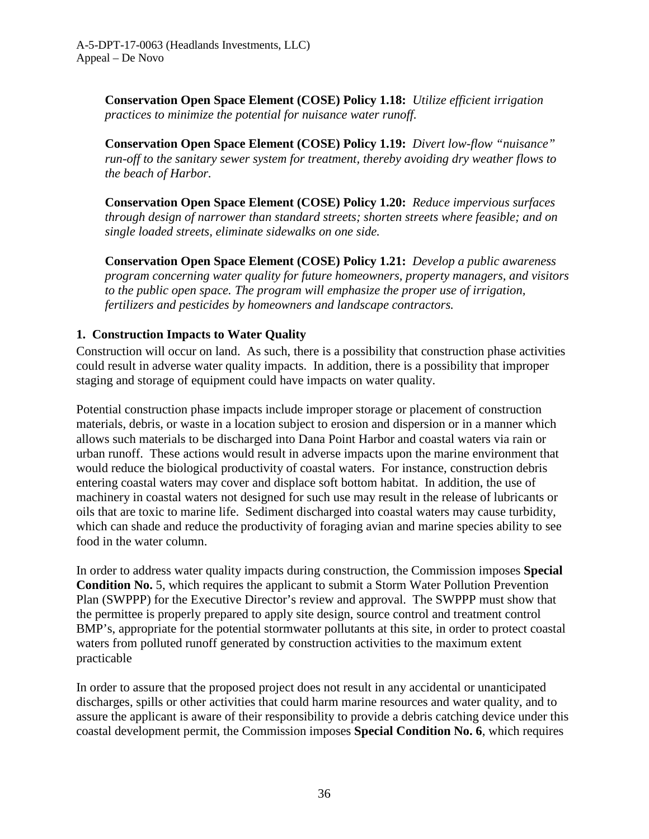**Conservation Open Space Element (COSE) Policy 1.18:** *Utilize efficient irrigation practices to minimize the potential for nuisance water runoff.* 

**Conservation Open Space Element (COSE) Policy 1.19:** *Divert low-flow "nuisance" run-off to the sanitary sewer system for treatment, thereby avoiding dry weather flows to the beach of Harbor.* 

**Conservation Open Space Element (COSE) Policy 1.20:** *Reduce impervious surfaces through design of narrower than standard streets; shorten streets where feasible; and on single loaded streets, eliminate sidewalks on one side.* 

**Conservation Open Space Element (COSE) Policy 1.21:** *Develop a public awareness program concerning water quality for future homeowners, property managers, and visitors to the public open space. The program will emphasize the proper use of irrigation, fertilizers and pesticides by homeowners and landscape contractors.* 

## **1. Construction Impacts to Water Quality**

Construction will occur on land. As such, there is a possibility that construction phase activities could result in adverse water quality impacts. In addition, there is a possibility that improper staging and storage of equipment could have impacts on water quality.

Potential construction phase impacts include improper storage or placement of construction materials, debris, or waste in a location subject to erosion and dispersion or in a manner which allows such materials to be discharged into Dana Point Harbor and coastal waters via rain or urban runoff. These actions would result in adverse impacts upon the marine environment that would reduce the biological productivity of coastal waters. For instance, construction debris entering coastal waters may cover and displace soft bottom habitat. In addition, the use of machinery in coastal waters not designed for such use may result in the release of lubricants or oils that are toxic to marine life. Sediment discharged into coastal waters may cause turbidity, which can shade and reduce the productivity of foraging avian and marine species ability to see food in the water column.

In order to address water quality impacts during construction, the Commission imposes **Special Condition No.** 5, which requires the applicant to submit a Storm Water Pollution Prevention Plan (SWPPP) for the Executive Director's review and approval. The SWPPP must show that the permittee is properly prepared to apply site design, source control and treatment control BMP's, appropriate for the potential stormwater pollutants at this site, in order to protect coastal waters from polluted runoff generated by construction activities to the maximum extent practicable

In order to assure that the proposed project does not result in any accidental or unanticipated discharges, spills or other activities that could harm marine resources and water quality, and to assure the applicant is aware of their responsibility to provide a debris catching device under this coastal development permit, the Commission imposes **Special Condition No. 6**, which requires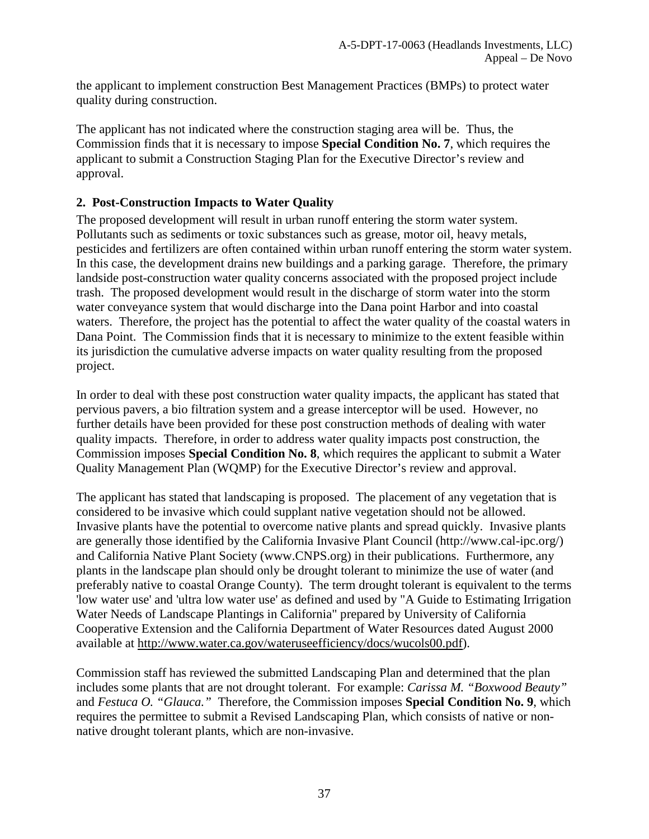the applicant to implement construction Best Management Practices (BMPs) to protect water quality during construction.

The applicant has not indicated where the construction staging area will be. Thus, the Commission finds that it is necessary to impose **Special Condition No. 7**, which requires the applicant to submit a Construction Staging Plan for the Executive Director's review and approval.

## **2. Post-Construction Impacts to Water Quality**

The proposed development will result in urban runoff entering the storm water system. Pollutants such as sediments or toxic substances such as grease, motor oil, heavy metals, pesticides and fertilizers are often contained within urban runoff entering the storm water system. In this case, the development drains new buildings and a parking garage. Therefore, the primary landside post-construction water quality concerns associated with the proposed project include trash. The proposed development would result in the discharge of storm water into the storm water conveyance system that would discharge into the Dana point Harbor and into coastal waters. Therefore, the project has the potential to affect the water quality of the coastal waters in Dana Point. The Commission finds that it is necessary to minimize to the extent feasible within its jurisdiction the cumulative adverse impacts on water quality resulting from the proposed project.

In order to deal with these post construction water quality impacts, the applicant has stated that pervious pavers, a bio filtration system and a grease interceptor will be used. However, no further details have been provided for these post construction methods of dealing with water quality impacts. Therefore, in order to address water quality impacts post construction, the Commission imposes **Special Condition No. 8**, which requires the applicant to submit a Water Quality Management Plan (WQMP) for the Executive Director's review and approval.

The applicant has stated that landscaping is proposed. The placement of any vegetation that is considered to be invasive which could supplant native vegetation should not be allowed. Invasive plants have the potential to overcome native plants and spread quickly. Invasive plants are generally those identified by the California Invasive Plant Council (http://www.cal-ipc.org/) and California Native Plant Society (www.CNPS.org) in their publications. Furthermore, any plants in the landscape plan should only be drought tolerant to minimize the use of water (and preferably native to coastal Orange County). The term drought tolerant is equivalent to the terms 'low water use' and 'ultra low water use' as defined and used by "A Guide to Estimating Irrigation Water Needs of Landscape Plantings in California" prepared by University of California Cooperative Extension and the California Department of Water Resources dated August 2000 available at [http://www.water.ca.gov/wateruseefficiency/docs/wucols00.pdf\)](http://www.water.ca.gov/wateruseefficiency/docs/wucols00.pdf).

Commission staff has reviewed the submitted Landscaping Plan and determined that the plan includes some plants that are not drought tolerant. For example: *Carissa M. "Boxwood Beauty"* and *Festuca O. "Glauca."* Therefore, the Commission imposes **Special Condition No. 9**, which requires the permittee to submit a Revised Landscaping Plan, which consists of native or nonnative drought tolerant plants, which are non-invasive.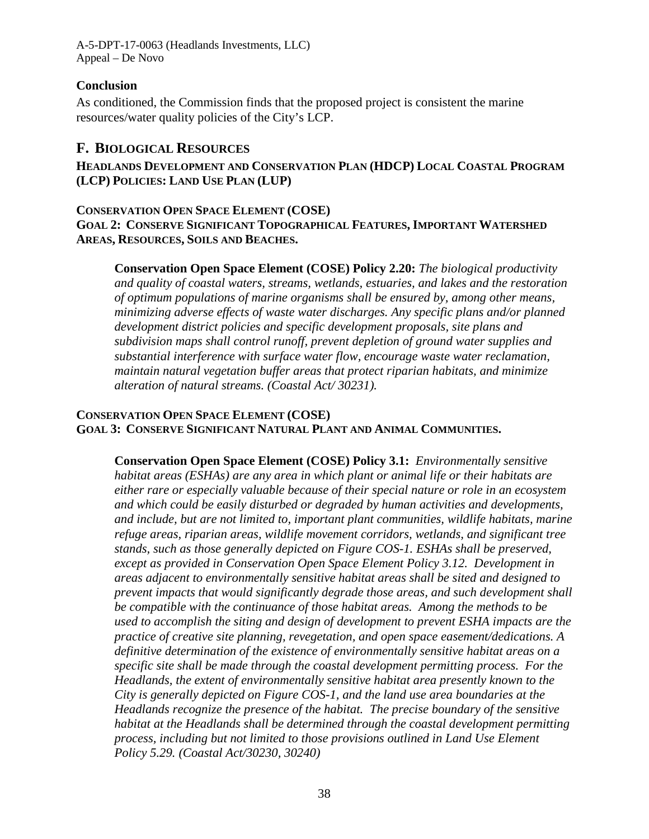A-5-DPT-17-0063 (Headlands Investments, LLC) Appeal – De Novo

## **Conclusion**

As conditioned, the Commission finds that the proposed project is consistent the marine resources/water quality policies of the City's LCP.

## <span id="page-37-0"></span>**F. BIOLOGICAL RESOURCES**

**HEADLANDS DEVELOPMENT AND CONSERVATION PLAN (HDCP) LOCAL COASTAL PROGRAM (LCP) POLICIES: LAND USE PLAN (LUP)**

### **CONSERVATION OPEN SPACE ELEMENT (COSE) GOAL 2: CONSERVE SIGNIFICANT TOPOGRAPHICAL FEATURES, IMPORTANT WATERSHED AREAS, RESOURCES, SOILS AND BEACHES.**

**Conservation Open Space Element (COSE) Policy 2.20:** *The biological productivity and quality of coastal waters, streams, wetlands, estuaries, and lakes and the restoration of optimum populations of marine organisms shall be ensured by, among other means, minimizing adverse effects of waste water discharges. Any specific plans and/or planned development district policies and specific development proposals, site plans and subdivision maps shall control runoff, prevent depletion of ground water supplies and substantial interference with surface water flow, encourage waste water reclamation, maintain natural vegetation buffer areas that protect riparian habitats, and minimize alteration of natural streams. (Coastal Act/ 30231).* 

## **CONSERVATION OPEN SPACE ELEMENT (COSE) GOAL 3: CONSERVE SIGNIFICANT NATURAL PLANT AND ANIMAL COMMUNITIES.**

**Conservation Open Space Element (COSE) Policy 3.1:** *Environmentally sensitive habitat areas (ESHAs) are any area in which plant or animal life or their habitats are either rare or especially valuable because of their special nature or role in an ecosystem and which could be easily disturbed or degraded by human activities and developments, and include, but are not limited to, important plant communities, wildlife habitats, marine refuge areas, riparian areas, wildlife movement corridors, wetlands, and significant tree stands, such as those generally depicted on Figure COS-1. ESHAs shall be preserved, except as provided in Conservation Open Space Element Policy 3.12. Development in areas adjacent to environmentally sensitive habitat areas shall be sited and designed to prevent impacts that would significantly degrade those areas, and such development shall be compatible with the continuance of those habitat areas. Among the methods to be used to accomplish the siting and design of development to prevent ESHA impacts are the practice of creative site planning, revegetation, and open space easement/dedications. A definitive determination of the existence of environmentally sensitive habitat areas on a specific site shall be made through the coastal development permitting process. For the Headlands, the extent of environmentally sensitive habitat area presently known to the City is generally depicted on Figure COS-1, and the land use area boundaries at the Headlands recognize the presence of the habitat. The precise boundary of the sensitive habitat at the Headlands shall be determined through the coastal development permitting process, including but not limited to those provisions outlined in Land Use Element Policy 5.29. (Coastal Act/30230, 30240)*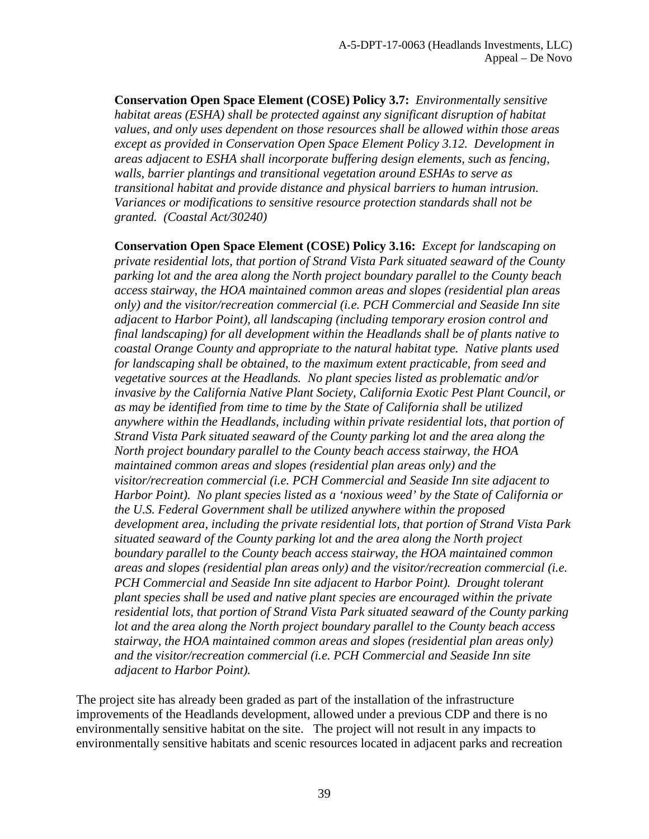**Conservation Open Space Element (COSE) Policy 3.7:** *Environmentally sensitive habitat areas (ESHA) shall be protected against any significant disruption of habitat values, and only uses dependent on those resources shall be allowed within those areas except as provided in Conservation Open Space Element Policy 3.12. Development in areas adjacent to ESHA shall incorporate buffering design elements, such as fencing, walls, barrier plantings and transitional vegetation around ESHAs to serve as transitional habitat and provide distance and physical barriers to human intrusion. Variances or modifications to sensitive resource protection standards shall not be granted. (Coastal Act/30240)* 

**Conservation Open Space Element (COSE) Policy 3.16:** *Except for landscaping on private residential lots, that portion of Strand Vista Park situated seaward of the County parking lot and the area along the North project boundary parallel to the County beach access stairway, the HOA maintained common areas and slopes (residential plan areas only) and the visitor/recreation commercial (i.e. PCH Commercial and Seaside Inn site adjacent to Harbor Point), all landscaping (including temporary erosion control and final landscaping) for all development within the Headlands shall be of plants native to coastal Orange County and appropriate to the natural habitat type. Native plants used for landscaping shall be obtained, to the maximum extent practicable, from seed and vegetative sources at the Headlands. No plant species listed as problematic and/or invasive by the California Native Plant Society, California Exotic Pest Plant Council, or as may be identified from time to time by the State of California shall be utilized anywhere within the Headlands, including within private residential lots, that portion of Strand Vista Park situated seaward of the County parking lot and the area along the North project boundary parallel to the County beach access stairway, the HOA maintained common areas and slopes (residential plan areas only) and the visitor/recreation commercial (i.e. PCH Commercial and Seaside Inn site adjacent to Harbor Point). No plant species listed as a 'noxious weed' by the State of California or the U.S. Federal Government shall be utilized anywhere within the proposed development area, including the private residential lots, that portion of Strand Vista Park situated seaward of the County parking lot and the area along the North project boundary parallel to the County beach access stairway, the HOA maintained common areas and slopes (residential plan areas only) and the visitor/recreation commercial (i.e. PCH Commercial and Seaside Inn site adjacent to Harbor Point). Drought tolerant plant species shall be used and native plant species are encouraged within the private residential lots, that portion of Strand Vista Park situated seaward of the County parking lot and the area along the North project boundary parallel to the County beach access stairway, the HOA maintained common areas and slopes (residential plan areas only) and the visitor/recreation commercial (i.e. PCH Commercial and Seaside Inn site adjacent to Harbor Point).* 

The project site has already been graded as part of the installation of the infrastructure improvements of the Headlands development, allowed under a previous CDP and there is no environmentally sensitive habitat on the site. The project will not result in any impacts to environmentally sensitive habitats and scenic resources located in adjacent parks and recreation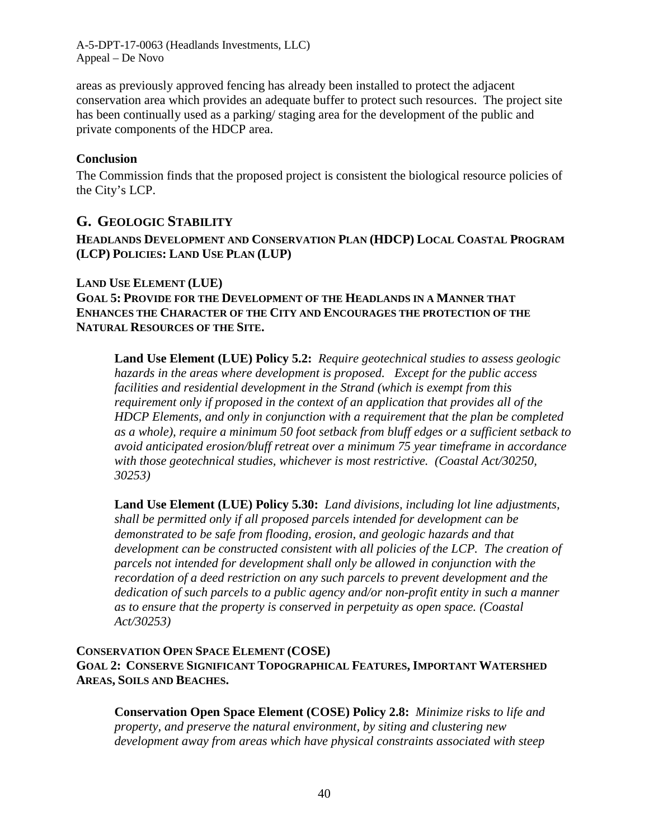A-5-DPT-17-0063 (Headlands Investments, LLC) Appeal – De Novo

areas as previously approved fencing has already been installed to protect the adjacent conservation area which provides an adequate buffer to protect such resources. The project site has been continually used as a parking/ staging area for the development of the public and private components of the HDCP area.

### **Conclusion**

The Commission finds that the proposed project is consistent the biological resource policies of the City's LCP.

## <span id="page-39-0"></span>**G. GEOLOGIC STABILITY**

### **HEADLANDS DEVELOPMENT AND CONSERVATION PLAN (HDCP) LOCAL COASTAL PROGRAM (LCP) POLICIES: LAND USE PLAN (LUP)**

### **LAND USE ELEMENT (LUE)**

**GOAL 5: PROVIDE FOR THE DEVELOPMENT OF THE HEADLANDS IN A MANNER THAT ENHANCES THE CHARACTER OF THE CITY AND ENCOURAGES THE PROTECTION OF THE NATURAL RESOURCES OF THE SITE.** 

**Land Use Element (LUE) Policy 5.2:** *Require geotechnical studies to assess geologic hazards in the areas where development is proposed. Except for the public access facilities and residential development in the Strand (which is exempt from this requirement only if proposed in the context of an application that provides all of the HDCP Elements, and only in conjunction with a requirement that the plan be completed as a whole), require a minimum 50 foot setback from bluff edges or a sufficient setback to avoid anticipated erosion/bluff retreat over a minimum 75 year timeframe in accordance with those geotechnical studies, whichever is most restrictive. (Coastal Act/30250, 30253)* 

**Land Use Element (LUE) Policy 5.30:** *Land divisions, including lot line adjustments, shall be permitted only if all proposed parcels intended for development can be demonstrated to be safe from flooding, erosion, and geologic hazards and that development can be constructed consistent with all policies of the LCP. The creation of parcels not intended for development shall only be allowed in conjunction with the recordation of a deed restriction on any such parcels to prevent development and the dedication of such parcels to a public agency and/or non-profit entity in such a manner as to ensure that the property is conserved in perpetuity as open space. (Coastal Act/30253)* 

### **CONSERVATION OPEN SPACE ELEMENT (COSE) GOAL 2: CONSERVE SIGNIFICANT TOPOGRAPHICAL FEATURES, IMPORTANT WATERSHED AREAS, SOILS AND BEACHES.**

**Conservation Open Space Element (COSE) Policy 2.8:** *Minimize risks to life and property, and preserve the natural environment, by siting and clustering new development away from areas which have physical constraints associated with steep*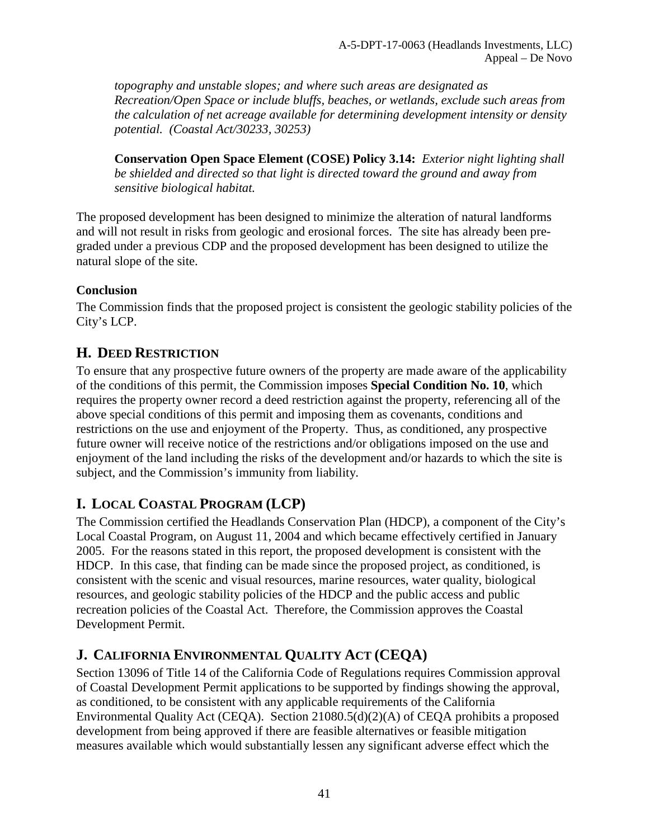*topography and unstable slopes; and where such areas are designated as Recreation/Open Space or include bluffs, beaches, or wetlands, exclude such areas from the calculation of net acreage available for determining development intensity or density potential. (Coastal Act/30233, 30253)* 

**Conservation Open Space Element (COSE) Policy 3.14:** *Exterior night lighting shall be shielded and directed so that light is directed toward the ground and away from sensitive biological habitat.* 

The proposed development has been designed to minimize the alteration of natural landforms and will not result in risks from geologic and erosional forces. The site has already been pregraded under a previous CDP and the proposed development has been designed to utilize the natural slope of the site.

## **Conclusion**

The Commission finds that the proposed project is consistent the geologic stability policies of the City's LCP.

## <span id="page-40-0"></span>**H. DEED RESTRICTION**

To ensure that any prospective future owners of the property are made aware of the applicability of the conditions of this permit, the Commission imposes **Special Condition No. 10**, which requires the property owner record a deed restriction against the property, referencing all of the above special conditions of this permit and imposing them as covenants, conditions and restrictions on the use and enjoyment of the Property. Thus, as conditioned, any prospective future owner will receive notice of the restrictions and/or obligations imposed on the use and enjoyment of the land including the risks of the development and/or hazards to which the site is subject, and the Commission's immunity from liability.

# <span id="page-40-1"></span>**I. LOCAL COASTAL PROGRAM (LCP)**

The Commission certified the Headlands Conservation Plan (HDCP), a component of the City's Local Coastal Program, on August 11, 2004 and which became effectively certified in January 2005. For the reasons stated in this report, the proposed development is consistent with the HDCP. In this case, that finding can be made since the proposed project, as conditioned, is consistent with the scenic and visual resources, marine resources, water quality, biological resources, and geologic stability policies of the HDCP and the public access and public recreation policies of the Coastal Act. Therefore, the Commission approves the Coastal Development Permit.

# <span id="page-40-2"></span>**J. CALIFORNIA ENVIRONMENTAL QUALITY ACT (CEQA)**

Section 13096 of Title 14 of the California Code of Regulations requires Commission approval of Coastal Development Permit applications to be supported by findings showing the approval, as conditioned, to be consistent with any applicable requirements of the California Environmental Quality Act (CEQA). Section 21080.5(d)(2)(A) of CEQA prohibits a proposed development from being approved if there are feasible alternatives or feasible mitigation measures available which would substantially lessen any significant adverse effect which the